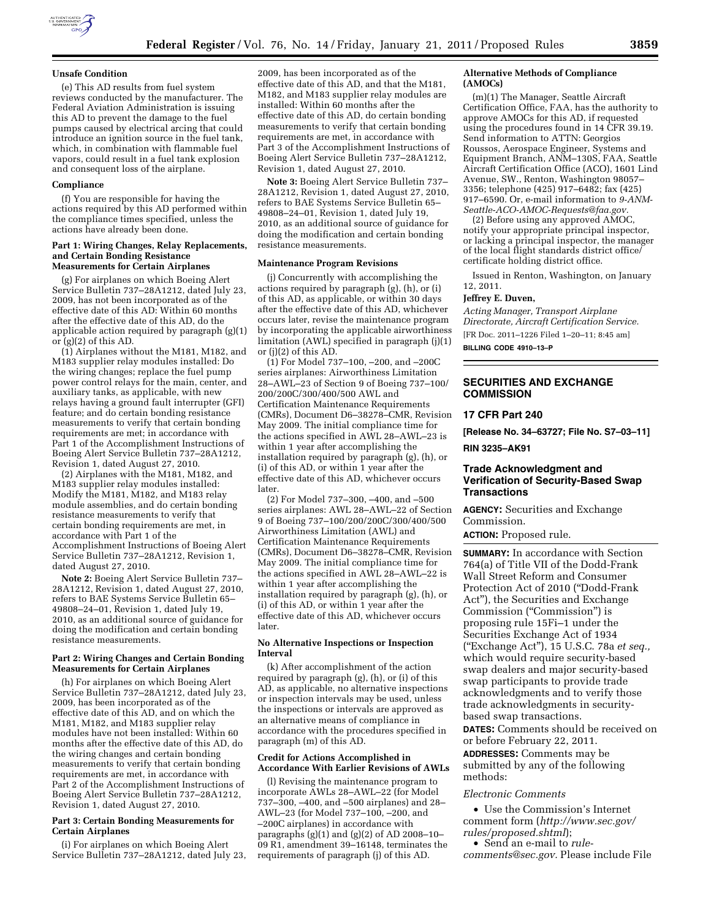

#### **Unsafe Condition**

(e) This AD results from fuel system reviews conducted by the manufacturer. The Federal Aviation Administration is issuing this AD to prevent the damage to the fuel pumps caused by electrical arcing that could introduce an ignition source in the fuel tank, which, in combination with flammable fuel vapors, could result in a fuel tank explosion and consequent loss of the airplane.

## **Compliance**

(f) You are responsible for having the actions required by this AD performed within the compliance times specified, unless the actions have already been done.

#### **Part 1: Wiring Changes, Relay Replacements, and Certain Bonding Resistance Measurements for Certain Airplanes**

(g) For airplanes on which Boeing Alert Service Bulletin 737–28A1212, dated July 23, 2009, has not been incorporated as of the effective date of this AD: Within 60 months after the effective date of this AD, do the applicable action required by paragraph (g)(1) or  $(g)(2)$  of this AD.

(1) Airplanes without the M181, M182, and M183 supplier relay modules installed: Do the wiring changes; replace the fuel pump power control relays for the main, center, and auxiliary tanks, as applicable, with new relays having a ground fault interrupter (GFI) feature; and do certain bonding resistance measurements to verify that certain bonding requirements are met; in accordance with Part 1 of the Accomplishment Instructions of Boeing Alert Service Bulletin 737–28A1212, Revision 1, dated August 27, 2010.

(2) Airplanes with the M181, M182, and M183 supplier relay modules installed: Modify the M181, M182, and M183 relay module assemblies, and do certain bonding resistance measurements to verify that certain bonding requirements are met, in accordance with Part 1 of the Accomplishment Instructions of Boeing Alert Service Bulletin 737–28A1212, Revision 1, dated August 27, 2010.

**Note 2:** Boeing Alert Service Bulletin 737– 28A1212, Revision 1, dated August 27, 2010, refers to BAE Systems Service Bulletin 65– 49808–24–01, Revision 1, dated July 19, 2010, as an additional source of guidance for doing the modification and certain bonding resistance measurements.

#### **Part 2: Wiring Changes and Certain Bonding Measurements for Certain Airplanes**

(h) For airplanes on which Boeing Alert Service Bulletin 737–28A1212, dated July 23, 2009, has been incorporated as of the effective date of this AD, and on which the M181, M182, and M183 supplier relay modules have not been installed: Within 60 months after the effective date of this AD, do the wiring changes and certain bonding measurements to verify that certain bonding requirements are met, in accordance with Part 2 of the Accomplishment Instructions of Boeing Alert Service Bulletin 737–28A1212, Revision 1, dated August 27, 2010.

#### **Part 3: Certain Bonding Measurements for Certain Airplanes**

(i) For airplanes on which Boeing Alert Service Bulletin 737–28A1212, dated July 23,

2009, has been incorporated as of the effective date of this AD, and that the M181, M182, and M183 supplier relay modules are installed: Within 60 months after the effective date of this AD, do certain bonding measurements to verify that certain bonding requirements are met, in accordance with Part 3 of the Accomplishment Instructions of Boeing Alert Service Bulletin 737–28A1212, Revision 1, dated August 27, 2010.

**Note 3:** Boeing Alert Service Bulletin 737– 28A1212, Revision 1, dated August 27, 2010, refers to BAE Systems Service Bulletin 65– 49808–24–01, Revision 1, dated July 19, 2010, as an additional source of guidance for doing the modification and certain bonding resistance measurements.

#### **Maintenance Program Revisions**

(j) Concurrently with accomplishing the actions required by paragraph  $(g)$ ,  $(h)$ , or  $(i)$ of this AD, as applicable, or within 30 days after the effective date of this AD, whichever occurs later, revise the maintenance program by incorporating the applicable airworthiness limitation (AWL) specified in paragraph (j)(1) or (j)(2) of this AD.

(1) For Model 737–100, –200, and –200C series airplanes: Airworthiness Limitation 28–AWL–23 of Section 9 of Boeing 737–100/ 200/200C/300/400/500 AWL and Certification Maintenance Requirements (CMRs), Document D6–38278–CMR, Revision May 2009. The initial compliance time for the actions specified in AWL 28–AWL–23 is within 1 year after accomplishing the installation required by paragraph (g), (h), or (i) of this AD, or within 1 year after the effective date of this AD, whichever occurs later.

(2) For Model 737–300, –400, and –500 series airplanes: AWL 28–AWL–22 of Section 9 of Boeing 737–100/200/200C/300/400/500 Airworthiness Limitation (AWL) and Certification Maintenance Requirements (CMRs), Document D6–38278–CMR, Revision May 2009. The initial compliance time for the actions specified in AWL 28–AWL–22 is within 1 year after accomplishing the installation required by paragraph (g), (h), or (i) of this AD, or within 1 year after the effective date of this AD, whichever occurs later.

## **No Alternative Inspections or Inspection Interval**

(k) After accomplishment of the action required by paragraph (g), (h), or (i) of this AD, as applicable, no alternative inspections or inspection intervals may be used, unless the inspections or intervals are approved as an alternative means of compliance in accordance with the procedures specified in paragraph (m) of this AD.

#### **Credit for Actions Accomplished in Accordance With Earlier Revisions of AWLs**

(l) Revising the maintenance program to incorporate AWLs 28–AWL–22 (for Model 737–300, –400, and –500 airplanes) and 28– AWL–23 (for Model 737–100, –200, and –200C airplanes) in accordance with paragraphs  $(g)(1)$  and  $(g)(2)$  of AD 2008–10– 09 R1, amendment 39–16148, terminates the requirements of paragraph (j) of this AD.

#### **Alternative Methods of Compliance (AMOCs)**

(m)(1) The Manager, Seattle Aircraft Certification Office, FAA, has the authority to approve AMOCs for this AD, if requested using the procedures found in 14 CFR 39.19. Send information to ATTN: Georgios Roussos, Aerospace Engineer, Systems and Equipment Branch, ANM–130S, FAA, Seattle Aircraft Certification Office (ACO), 1601 Lind Avenue, SW., Renton, Washington 98057– 3356; telephone (425) 917–6482; fax (425) 917–6590. Or, e-mail information to *[9-ANM-](mailto:9-ANM-Seattle-ACO-AMOC-Requests@faa.gov)[Seattle-ACO-AMOC-Requests@faa.gov.](mailto:9-ANM-Seattle-ACO-AMOC-Requests@faa.gov)* 

(2) Before using any approved AMOC, notify your appropriate principal inspector, or lacking a principal inspector, the manager of the local flight standards district office/ certificate holding district office.

Issued in Renton, Washington, on January 12, 2011.

#### **Jeffrey E. Duven,**

*Acting Manager, Transport Airplane Directorate, Aircraft Certification Service.*  [FR Doc. 2011–1226 Filed 1–20–11; 8:45 am] **BILLING CODE 4910–13–P** 

## **SECURITIES AND EXCHANGE COMMISSION**

# **17 CFR Part 240**

**[Release No. 34–63727; File No. S7–03–11]** 

**RIN 3235–AK91** 

## **Trade Acknowledgment and Verification of Security-Based Swap Transactions**

**AGENCY:** Securities and Exchange Commission.

**ACTION:** Proposed rule.

**SUMMARY:** In accordance with Section 764(a) of Title VII of the Dodd-Frank Wall Street Reform and Consumer Protection Act of 2010 (''Dodd-Frank Act''), the Securities and Exchange Commission (''Commission'') is proposing rule 15Fi–1 under the Securities Exchange Act of 1934 (''Exchange Act''), 15 U.S.C. 78a *et seq.,*  which would require security-based swap dealers and major security-based swap participants to provide trade acknowledgments and to verify those trade acknowledgments in securitybased swap transactions.

**DATES:** Comments should be received on or before February 22, 2011.

**ADDRESSES:** Comments may be submitted by any of the following methods:

### *Electronic Comments*

• Use the Commission's Internet comment form (*[http://www.sec.gov/](http://www.sec.gov/rules/proposed.shtml)  [rules/proposed.shtml](http://www.sec.gov/rules/proposed.shtml)*);

• Send an e-mail to *[rule](mailto:rule-comments@sec.gov)[comments@sec.gov.](mailto:rule-comments@sec.gov)* Please include File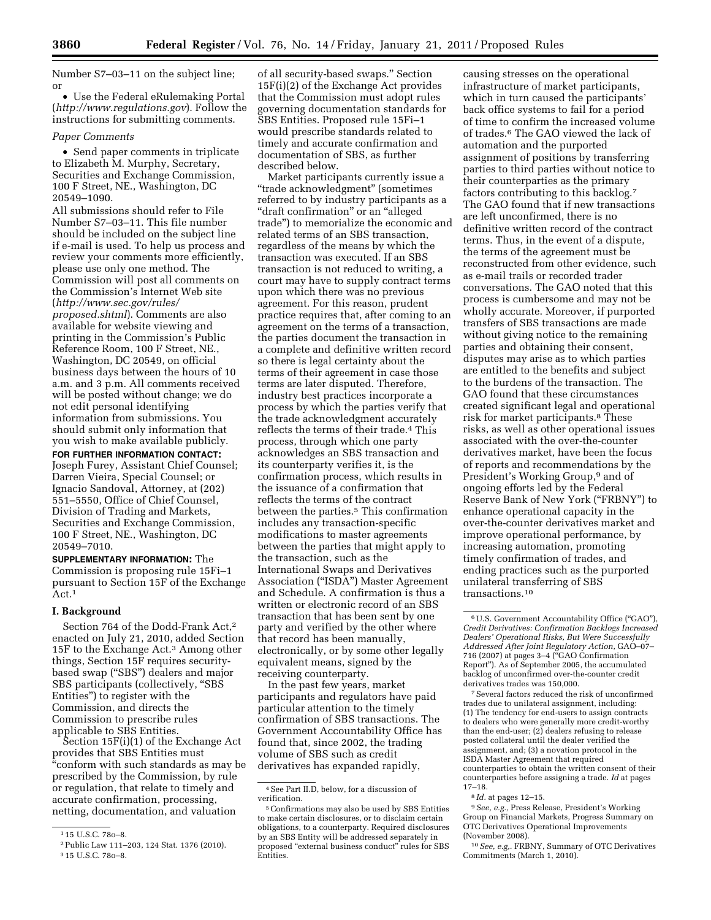Number S7–03–11 on the subject line; or

• Use the Federal eRulemaking Portal (*<http://www.regulations.gov>*). Follow the instructions for submitting comments.

### *Paper Comments*

• Send paper comments in triplicate to Elizabeth M. Murphy, Secretary, Securities and Exchange Commission, 100 F Street, NE., Washington, DC 20549–1090.

All submissions should refer to File Number S7–03–11. This file number should be included on the subject line if e-mail is used. To help us process and review your comments more efficiently, please use only one method. The Commission will post all comments on the Commission's Internet Web site (*[http://www.sec.gov/rules/](http://www.sec.gov/rules/proposed.shtml) [proposed.shtml](http://www.sec.gov/rules/proposed.shtml)*). Comments are also available for website viewing and printing in the Commission's Public Reference Room, 100 F Street, NE., Washington, DC 20549, on official business days between the hours of 10 a.m. and 3 p.m. All comments received will be posted without change; we do not edit personal identifying information from submissions. You should submit only information that you wish to make available publicly.

**FOR FURTHER INFORMATION CONTACT:**  Joseph Furey, Assistant Chief Counsel; Darren Vieira, Special Counsel; or Ignacio Sandoval, Attorney, at (202) 551–5550, Office of Chief Counsel, Division of Trading and Markets, Securities and Exchange Commission, 100 F Street, NE., Washington, DC 20549–7010.

**SUPPLEMENTARY INFORMATION:** The Commission is proposing rule 15Fi–1 pursuant to Section 15F of the Exchange Act.1

### **I. Background**

Section 764 of the Dodd-Frank Act,2 enacted on July 21, 2010, added Section 15F to the Exchange Act.3 Among other things, Section 15F requires securitybased swap ("SBS") dealers and major SBS participants (collectively, "SBS Entities'') to register with the Commission, and directs the Commission to prescribe rules applicable to SBS Entities.

Section 15F(i)(1) of the Exchange Act provides that SBS Entities must "conform with such standards as may be prescribed by the Commission, by rule or regulation, that relate to timely and accurate confirmation, processing, netting, documentation, and valuation

of all security-based swaps.'' Section 15F(i)(2) of the Exchange Act provides that the Commission must adopt rules governing documentation standards for SBS Entities. Proposed rule 15Fi–1 would prescribe standards related to timely and accurate confirmation and documentation of SBS, as further described below.

Market participants currently issue a ''trade acknowledgment'' (sometimes referred to by industry participants as a ''draft confirmation'' or an ''alleged trade'') to memorialize the economic and related terms of an SBS transaction, regardless of the means by which the transaction was executed. If an SBS transaction is not reduced to writing, a court may have to supply contract terms upon which there was no previous agreement. For this reason, prudent practice requires that, after coming to an agreement on the terms of a transaction, the parties document the transaction in a complete and definitive written record so there is legal certainty about the terms of their agreement in case those terms are later disputed. Therefore, industry best practices incorporate a process by which the parties verify that the trade acknowledgment accurately reflects the terms of their trade.4 This process, through which one party acknowledges an SBS transaction and its counterparty verifies it, is the confirmation process, which results in the issuance of a confirmation that reflects the terms of the contract between the parties.<sup>5</sup> This confirmation includes any transaction-specific modifications to master agreements between the parties that might apply to the transaction, such as the International Swaps and Derivatives Association (''ISDA'') Master Agreement and Schedule. A confirmation is thus a written or electronic record of an SBS transaction that has been sent by one party and verified by the other where that record has been manually, electronically, or by some other legally equivalent means, signed by the receiving counterparty.

In the past few years, market participants and regulators have paid particular attention to the timely confirmation of SBS transactions. The Government Accountability Office has found that, since 2002, the trading volume of SBS such as credit derivatives has expanded rapidly,

causing stresses on the operational infrastructure of market participants, which in turn caused the participants' back office systems to fail for a period of time to confirm the increased volume of trades.6 The GAO viewed the lack of automation and the purported assignment of positions by transferring parties to third parties without notice to their counterparties as the primary factors contributing to this backlog.7 The GAO found that if new transactions are left unconfirmed, there is no definitive written record of the contract terms. Thus, in the event of a dispute, the terms of the agreement must be reconstructed from other evidence, such as e-mail trails or recorded trader conversations. The GAO noted that this process is cumbersome and may not be wholly accurate. Moreover, if purported transfers of SBS transactions are made without giving notice to the remaining parties and obtaining their consent, disputes may arise as to which parties are entitled to the benefits and subject to the burdens of the transaction. The GAO found that these circumstances created significant legal and operational risk for market participants.8 These risks, as well as other operational issues associated with the over-the-counter derivatives market, have been the focus of reports and recommendations by the President's Working Group,<sup>9</sup> and of ongoing efforts led by the Federal Reserve Bank of New York (''FRBNY'') to enhance operational capacity in the over-the-counter derivatives market and improve operational performance, by increasing automation, promoting timely confirmation of trades, and ending practices such as the purported unilateral transferring of SBS transactions.10

7Several factors reduced the risk of unconfirmed trades due to unilateral assignment, including: (1) The tendency for end-users to assign contracts to dealers who were generally more credit-worthy than the end-user; (2) dealers refusing to release posted collateral until the dealer verified the assignment, and; (3) a novation protocol in the ISDA Master Agreement that required counterparties to obtain the written consent of their counterparties before assigning a trade. *Id* at pages 17–18.

8 *Id.* at pages 12–15.

9*See, e.g.,* Press Release, President's Working Group on Financial Markets, Progress Summary on OTC Derivatives Operational Improvements (November 2008).

10*See, e.g,.* FRBNY, Summary of OTC Derivatives Commitments (March 1, 2010).

<sup>1</sup> 15 U.S.C. 78o–8.

<sup>2</sup>Public Law 111–203, 124 Stat. 1376 (2010). 3 15 U.S.C. 78o–8.

<sup>4</sup>See Part II.D, below, for a discussion of verification.

<sup>5</sup>Confirmations may also be used by SBS Entities to make certain disclosures, or to disclaim certain obligations, to a counterparty. Required disclosures by an SBS Entity will be addressed separately in proposed ''external business conduct'' rules for SBS Entities.

<sup>6</sup>U.S. Government Accountability Office (''GAO''), *Credit Derivatives: Confirmation Backlogs Increased Dealers' Operational Risks, But Were Successfully Addressed After Joint Regulatory Action,* GAO–07– 716 (2007) at pages 3–4 (''GAO Confirmation Report''). As of September 2005, the accumulated backlog of unconfirmed over-the-counter credit derivatives trades was 150,000.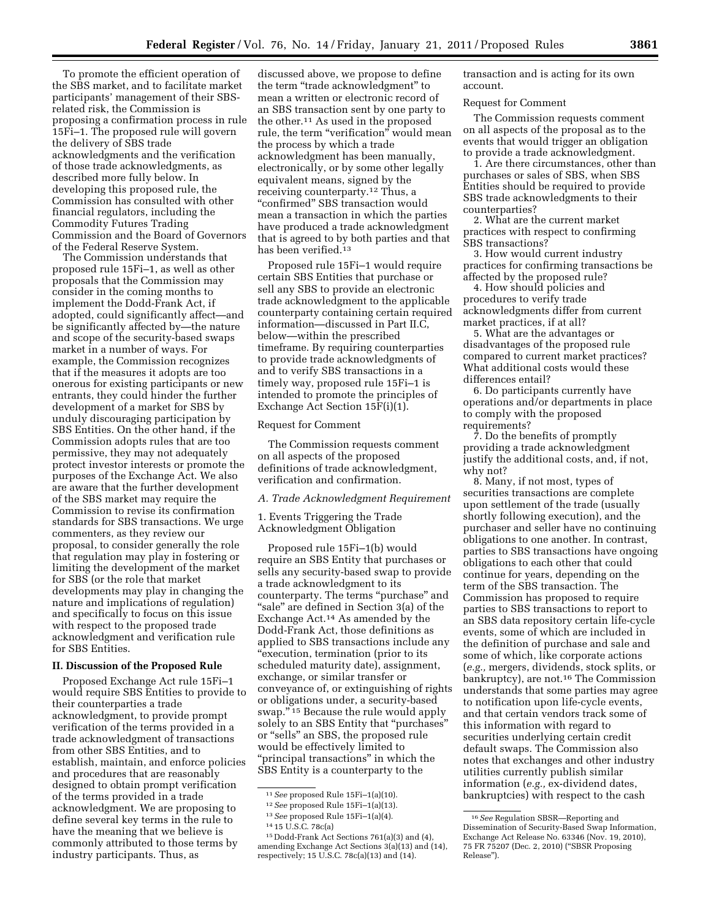To promote the efficient operation of the SBS market, and to facilitate market participants' management of their SBSrelated risk, the Commission is proposing a confirmation process in rule 15Fi–1. The proposed rule will govern the delivery of SBS trade acknowledgments and the verification of those trade acknowledgments, as described more fully below. In developing this proposed rule, the Commission has consulted with other financial regulators, including the Commodity Futures Trading Commission and the Board of Governors of the Federal Reserve System.

The Commission understands that proposed rule 15Fi–1, as well as other proposals that the Commission may consider in the coming months to implement the Dodd-Frank Act, if adopted, could significantly affect—and be significantly affected by—the nature and scope of the security-based swaps market in a number of ways. For example, the Commission recognizes that if the measures it adopts are too onerous for existing participants or new entrants, they could hinder the further development of a market for SBS by unduly discouraging participation by SBS Entities. On the other hand, if the Commission adopts rules that are too permissive, they may not adequately protect investor interests or promote the purposes of the Exchange Act. We also are aware that the further development of the SBS market may require the Commission to revise its confirmation standards for SBS transactions. We urge commenters, as they review our proposal, to consider generally the role that regulation may play in fostering or limiting the development of the market for SBS (or the role that market developments may play in changing the nature and implications of regulation) and specifically to focus on this issue with respect to the proposed trade acknowledgment and verification rule for SBS Entities.

### **II. Discussion of the Proposed Rule**

Proposed Exchange Act rule 15Fi–1 would require SBS Entities to provide to their counterparties a trade acknowledgment, to provide prompt verification of the terms provided in a trade acknowledgment of transactions from other SBS Entities, and to establish, maintain, and enforce policies and procedures that are reasonably designed to obtain prompt verification of the terms provided in a trade acknowledgment. We are proposing to define several key terms in the rule to have the meaning that we believe is commonly attributed to those terms by industry participants. Thus, as

discussed above, we propose to define the term ''trade acknowledgment'' to mean a written or electronic record of an SBS transaction sent by one party to the other.11 As used in the proposed rule, the term "verification" would mean the process by which a trade acknowledgment has been manually, electronically, or by some other legally equivalent means, signed by the receiving counterparty.12 Thus, a "confirmed" SBS transaction would mean a transaction in which the parties have produced a trade acknowledgment that is agreed to by both parties and that has been verified.<sup>13</sup>

Proposed rule 15Fi–1 would require certain SBS Entities that purchase or sell any SBS to provide an electronic trade acknowledgment to the applicable counterparty containing certain required information—discussed in Part II.C, below—within the prescribed timeframe. By requiring counterparties to provide trade acknowledgments of and to verify SBS transactions in a timely way, proposed rule 15Fi–1 is intended to promote the principles of Exchange Act Section 15F(i)(1).

## Request for Comment

The Commission requests comment on all aspects of the proposed definitions of trade acknowledgment, verification and confirmation.

*A. Trade Acknowledgment Requirement* 

1. Events Triggering the Trade Acknowledgment Obligation

Proposed rule 15Fi–1(b) would require an SBS Entity that purchases or sells any security-based swap to provide a trade acknowledgment to its counterparty. The terms "purchase" and "sale" are defined in Section 3(a) of the Exchange Act.14 As amended by the Dodd-Frank Act, those definitions as applied to SBS transactions include any ''execution, termination (prior to its scheduled maturity date), assignment, exchange, or similar transfer or conveyance of, or extinguishing of rights or obligations under, a security-based swap.'' 15 Because the rule would apply solely to an SBS Entity that ''purchases'' or ''sells'' an SBS, the proposed rule would be effectively limited to ''principal transactions'' in which the SBS Entity is a counterparty to the

transaction and is acting for its own account.

#### Request for Comment

The Commission requests comment on all aspects of the proposal as to the events that would trigger an obligation to provide a trade acknowledgment.

1. Are there circumstances, other than purchases or sales of SBS, when SBS Entities should be required to provide SBS trade acknowledgments to their counterparties?

2. What are the current market practices with respect to confirming SBS transactions?

3. How would current industry practices for confirming transactions be affected by the proposed rule?

4. How should policies and procedures to verify trade acknowledgments differ from current market practices, if at all?

5. What are the advantages or disadvantages of the proposed rule compared to current market practices? What additional costs would these differences entail?

6. Do participants currently have operations and/or departments in place to comply with the proposed requirements?

7. Do the benefits of promptly providing a trade acknowledgment justify the additional costs, and, if not, why not?

8. Many, if not most, types of securities transactions are complete upon settlement of the trade (usually shortly following execution), and the purchaser and seller have no continuing obligations to one another. In contrast, parties to SBS transactions have ongoing obligations to each other that could continue for years, depending on the term of the SBS transaction. The Commission has proposed to require parties to SBS transactions to report to an SBS data repository certain life-cycle events, some of which are included in the definition of purchase and sale and some of which, like corporate actions (*e.g.,* mergers, dividends, stock splits, or bankruptcy), are not.16 The Commission understands that some parties may agree to notification upon life-cycle events, and that certain vendors track some of this information with regard to securities underlying certain credit default swaps. The Commission also notes that exchanges and other industry utilities currently publish similar information (*e.g.,* ex-dividend dates, bankruptcies) with respect to the cash

<sup>11</sup>*See* proposed Rule 15Fi–1(a)(10).

<sup>12</sup>*See* proposed Rule 15Fi–1(a)(13).

<sup>13</sup>*See* proposed Rule 15Fi–1(a)(4).

<sup>14</sup> 15 U.S.C. 78c(a)

<sup>15</sup> Dodd-Frank Act Sections 761(a)(3) and (4), amending Exchange Act Sections 3(a)(13) and (14), respectively; 15 U.S.C. 78c(a)(13) and (14).

<sup>16</sup>*See* Regulation SBSR—Reporting and Dissemination of Security-Based Swap Information, Exchange Act Release No. 63346 (Nov. 19, 2010), 75 FR 75207 (Dec. 2, 2010) (''SBSR Proposing Release'').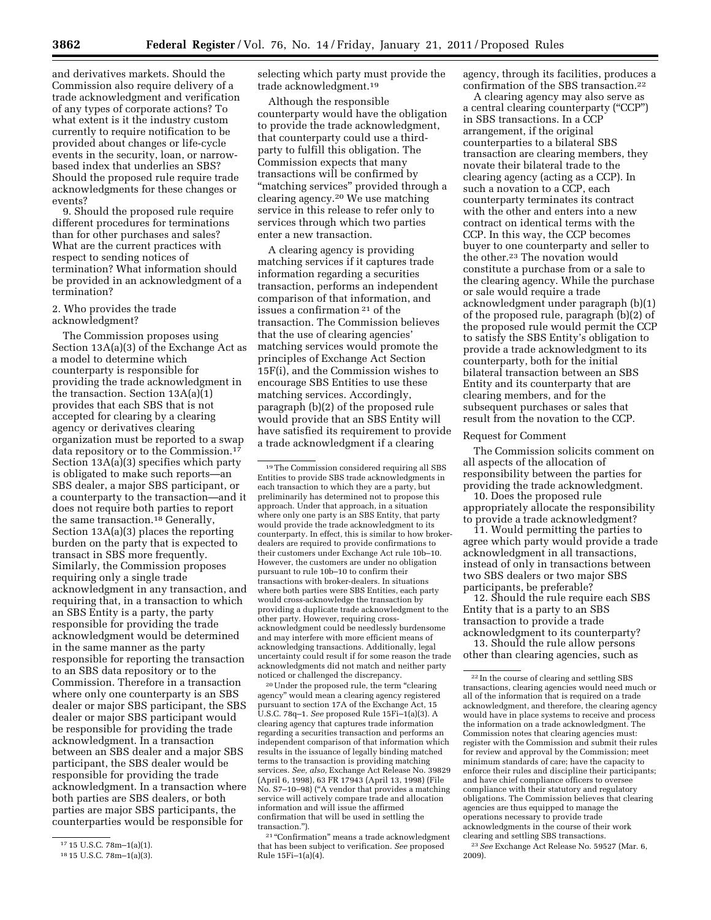and derivatives markets. Should the Commission also require delivery of a trade acknowledgment and verification of any types of corporate actions? To what extent is it the industry custom currently to require notification to be provided about changes or life-cycle events in the security, loan, or narrowbased index that underlies an SBS? Should the proposed rule require trade acknowledgments for these changes or events?

9. Should the proposed rule require different procedures for terminations than for other purchases and sales? What are the current practices with respect to sending notices of termination? What information should be provided in an acknowledgment of a termination?

## 2. Who provides the trade acknowledgment?

The Commission proposes using Section 13A(a)(3) of the Exchange Act as a model to determine which counterparty is responsible for providing the trade acknowledgment in the transaction. Section 13A(a)(1) provides that each SBS that is not accepted for clearing by a clearing agency or derivatives clearing organization must be reported to a swap data repository or to the Commission.17 Section 13A(a)(3) specifies which party is obligated to make such reports—an SBS dealer, a major SBS participant, or a counterparty to the transaction—and it does not require both parties to report the same transaction.18 Generally, Section 13A(a)(3) places the reporting burden on the party that is expected to transact in SBS more frequently. Similarly, the Commission proposes requiring only a single trade acknowledgment in any transaction, and requiring that, in a transaction to which an SBS Entity is a party, the party responsible for providing the trade acknowledgment would be determined in the same manner as the party responsible for reporting the transaction to an SBS data repository or to the Commission. Therefore in a transaction where only one counterparty is an SBS dealer or major SBS participant, the SBS dealer or major SBS participant would be responsible for providing the trade acknowledgment. In a transaction between an SBS dealer and a major SBS participant, the SBS dealer would be responsible for providing the trade acknowledgment. In a transaction where both parties are SBS dealers, or both parties are major SBS participants, the counterparties would be responsible for

selecting which party must provide the trade acknowledgment.19

Although the responsible counterparty would have the obligation to provide the trade acknowledgment, that counterparty could use a thirdparty to fulfill this obligation. The Commission expects that many transactions will be confirmed by ''matching services'' provided through a clearing agency.20 We use matching service in this release to refer only to services through which two parties enter a new transaction.

A clearing agency is providing matching services if it captures trade information regarding a securities transaction, performs an independent comparison of that information, and issues a confirmation 21 of the transaction. The Commission believes that the use of clearing agencies' matching services would promote the principles of Exchange Act Section 15F(i), and the Commission wishes to encourage SBS Entities to use these matching services. Accordingly, paragraph (b)(2) of the proposed rule would provide that an SBS Entity will have satisfied its requirement to provide a trade acknowledgment if a clearing

20Under the proposed rule, the term ''clearing agency'' would mean a clearing agency registered pursuant to section 17A of the Exchange Act, 15 U.S.C. 78q–1. *See* proposed Rule 15Fi–1(a)(3). A clearing agency that captures trade information regarding a securities transaction and performs an independent comparison of that information which results in the issuance of legally binding matched terms to the transaction is providing matching services. *See, also,* Exchange Act Release No. 39829 (April 6, 1998), 63 FR 17943 (April 13, 1998) (File No. S7–10–98) (''A vendor that provides a matching service will actively compare trade and allocation information and will issue the affirmed confirmation that will be used in settling the transaction.'').

<sup>21</sup> "Confirmation" means a trade acknowledgment that has been subject to verification. *See* proposed Rule 15Fi–1(a)(4).

agency, through its facilities, produces a confirmation of the SBS transaction.22

A clearing agency may also serve as a central clearing counterparty (''CCP'') in SBS transactions. In a CCP arrangement, if the original counterparties to a bilateral SBS transaction are clearing members, they novate their bilateral trade to the clearing agency (acting as a CCP). In such a novation to a CCP, each counterparty terminates its contract with the other and enters into a new contract on identical terms with the CCP. In this way, the CCP becomes buyer to one counterparty and seller to the other.23 The novation would constitute a purchase from or a sale to the clearing agency. While the purchase or sale would require a trade acknowledgment under paragraph (b)(1) of the proposed rule, paragraph (b)(2) of the proposed rule would permit the CCP to satisfy the SBS Entity's obligation to provide a trade acknowledgment to its counterparty, both for the initial bilateral transaction between an SBS Entity and its counterparty that are clearing members, and for the subsequent purchases or sales that result from the novation to the CCP.

#### Request for Comment

The Commission solicits comment on all aspects of the allocation of responsibility between the parties for providing the trade acknowledgment.

10. Does the proposed rule appropriately allocate the responsibility to provide a trade acknowledgment?

11. Would permitting the parties to agree which party would provide a trade acknowledgment in all transactions, instead of only in transactions between two SBS dealers or two major SBS participants, be preferable?

12. Should the rule require each SBS Entity that is a party to an SBS transaction to provide a trade acknowledgment to its counterparty?

13. Should the rule allow persons other than clearing agencies, such as

23*See* Exchange Act Release No. 59527 (Mar. 6, 2009).

<sup>17</sup> 15 U.S.C. 78m–1(a)(1).

<sup>18</sup> 15 U.S.C. 78m–1(a)(3).

<sup>19</sup>The Commission considered requiring all SBS Entities to provide SBS trade acknowledgments in each transaction to which they are a party, but preliminarily has determined not to propose this approach. Under that approach, in a situation where only one party is an SBS Entity, that party would provide the trade acknowledgment to its counterparty. In effect, this is similar to how brokerdealers are required to provide confirmations to their customers under Exchange Act rule 10b–10. However, the customers are under no obligation pursuant to rule 10b–10 to confirm their transactions with broker-dealers. In situations where both parties were SBS Entities, each party would cross-acknowledge the transaction by providing a duplicate trade acknowledgment to the other party. However, requiring crossacknowledgment could be needlessly burdensome and may interfere with more efficient means of acknowledging transactions. Additionally, legal uncertainty could result if for some reason the trade acknowledgments did not match and neither party noticed or challenged the discrepancy.

<sup>22</sup> In the course of clearing and settling SBS transactions, clearing agencies would need much or all of the information that is required on a trade acknowledgment, and therefore, the clearing agency would have in place systems to receive and process the information on a trade acknowledgment. The Commission notes that clearing agencies must: register with the Commission and submit their rules for review and approval by the Commission; meet minimum standards of care; have the capacity to enforce their rules and discipline their participants; and have chief compliance officers to oversee compliance with their statutory and regulatory obligations. The Commission believes that clearing agencies are thus equipped to manage the operations necessary to provide trade acknowledgments in the course of their work clearing and settling SBS transactions.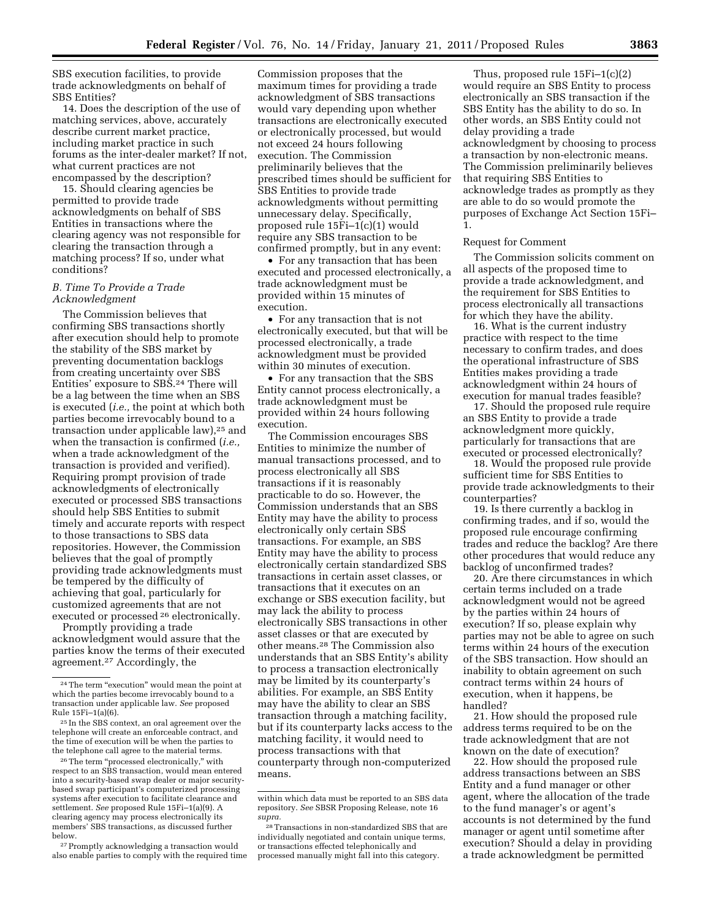SBS execution facilities, to provide trade acknowledgments on behalf of SBS Entities?

14. Does the description of the use of matching services, above, accurately describe current market practice, including market practice in such forums as the inter-dealer market? If not, what current practices are not encompassed by the description?

15. Should clearing agencies be permitted to provide trade acknowledgments on behalf of SBS Entities in transactions where the clearing agency was not responsible for clearing the transaction through a matching process? If so, under what conditions?

## *B. Time To Provide a Trade Acknowledgment*

The Commission believes that confirming SBS transactions shortly after execution should help to promote the stability of the SBS market by preventing documentation backlogs from creating uncertainty over SBS Entities' exposure to SBS.24 There will be a lag between the time when an SBS is executed (*i.e.,* the point at which both parties become irrevocably bound to a transaction under applicable law),25 and when the transaction is confirmed (*i.e.,*  when a trade acknowledgment of the transaction is provided and verified). Requiring prompt provision of trade acknowledgments of electronically executed or processed SBS transactions should help SBS Entities to submit timely and accurate reports with respect to those transactions to SBS data repositories. However, the Commission believes that the goal of promptly providing trade acknowledgments must be tempered by the difficulty of achieving that goal, particularly for customized agreements that are not executed or processed 26 electronically.

Promptly providing a trade acknowledgment would assure that the parties know the terms of their executed agreement.27 Accordingly, the

27Promptly acknowledging a transaction would also enable parties to comply with the required time

Commission proposes that the maximum times for providing a trade acknowledgment of SBS transactions would vary depending upon whether transactions are electronically executed or electronically processed, but would not exceed 24 hours following execution. The Commission preliminarily believes that the prescribed times should be sufficient for SBS Entities to provide trade acknowledgments without permitting unnecessary delay. Specifically, proposed rule 15Fi–1(c)(1) would require any SBS transaction to be confirmed promptly, but in any event:

• For any transaction that has been executed and processed electronically, a trade acknowledgment must be provided within 15 minutes of execution.

• For any transaction that is not electronically executed, but that will be processed electronically, a trade acknowledgment must be provided within 30 minutes of execution.

• For any transaction that the SBS Entity cannot process electronically, a trade acknowledgment must be provided within 24 hours following execution.

The Commission encourages SBS Entities to minimize the number of manual transactions processed, and to process electronically all SBS transactions if it is reasonably practicable to do so. However, the Commission understands that an SBS Entity may have the ability to process electronically only certain SBS transactions. For example, an SBS Entity may have the ability to process electronically certain standardized SBS transactions in certain asset classes, or transactions that it executes on an exchange or SBS execution facility, but may lack the ability to process electronically SBS transactions in other asset classes or that are executed by other means.28 The Commission also understands that an SBS Entity's ability to process a transaction electronically may be limited by its counterparty's abilities. For example, an SBS Entity may have the ability to clear an SBS transaction through a matching facility, but if its counterparty lacks access to the matching facility, it would need to process transactions with that counterparty through non-computerized means.

Thus, proposed rule 15Fi–1(c)(2) would require an SBS Entity to process electronically an SBS transaction if the SBS Entity has the ability to do so. In other words, an SBS Entity could not delay providing a trade acknowledgment by choosing to process a transaction by non-electronic means. The Commission preliminarily believes that requiring SBS Entities to acknowledge trades as promptly as they are able to do so would promote the purposes of Exchange Act Section 15Fi– 1.

## Request for Comment

The Commission solicits comment on all aspects of the proposed time to provide a trade acknowledgment, and the requirement for SBS Entities to process electronically all transactions for which they have the ability.

16. What is the current industry practice with respect to the time necessary to confirm trades, and does the operational infrastructure of SBS Entities makes providing a trade acknowledgment within 24 hours of execution for manual trades feasible?

17. Should the proposed rule require an SBS Entity to provide a trade acknowledgment more quickly, particularly for transactions that are executed or processed electronically?

18. Would the proposed rule provide sufficient time for SBS Entities to provide trade acknowledgments to their counterparties?

19. Is there currently a backlog in confirming trades, and if so, would the proposed rule encourage confirming trades and reduce the backlog? Are there other procedures that would reduce any backlog of unconfirmed trades?

20. Are there circumstances in which certain terms included on a trade acknowledgment would not be agreed by the parties within 24 hours of execution? If so, please explain why parties may not be able to agree on such terms within 24 hours of the execution of the SBS transaction. How should an inability to obtain agreement on such contract terms within 24 hours of execution, when it happens, be handled?

21. How should the proposed rule address terms required to be on the trade acknowledgment that are not known on the date of execution?

22. How should the proposed rule address transactions between an SBS Entity and a fund manager or other agent, where the allocation of the trade to the fund manager's or agent's accounts is not determined by the fund manager or agent until sometime after execution? Should a delay in providing a trade acknowledgment be permitted

<sup>&</sup>lt;sup>24</sup> The term "execution" would mean the point at which the parties become irrevocably bound to a transaction under applicable law. *See* proposed Rule 15Fi–1(a)(6).

<sup>25</sup> In the SBS context, an oral agreement over the telephone will create an enforceable contract, and the time of execution will be when the parties to the telephone call agree to the material terms.

<sup>26</sup>The term ''processed electronically,'' with respect to an SBS transaction, would mean entered into a security-based swap dealer or major securitybased swap participant's computerized processing systems after execution to facilitate clearance and settlement. *See* proposed Rule 15Fi–1(a)(9). A clearing agency may process electronically its members' SBS transactions, as discussed further below.

within which data must be reported to an SBS data repository. *See* SBSR Proposing Release, note 16 *supra.* 

<sup>28</sup>Transactions in non-standardized SBS that are individually negotiated and contain unique terms, or transactions effected telephonically and processed manually might fall into this category.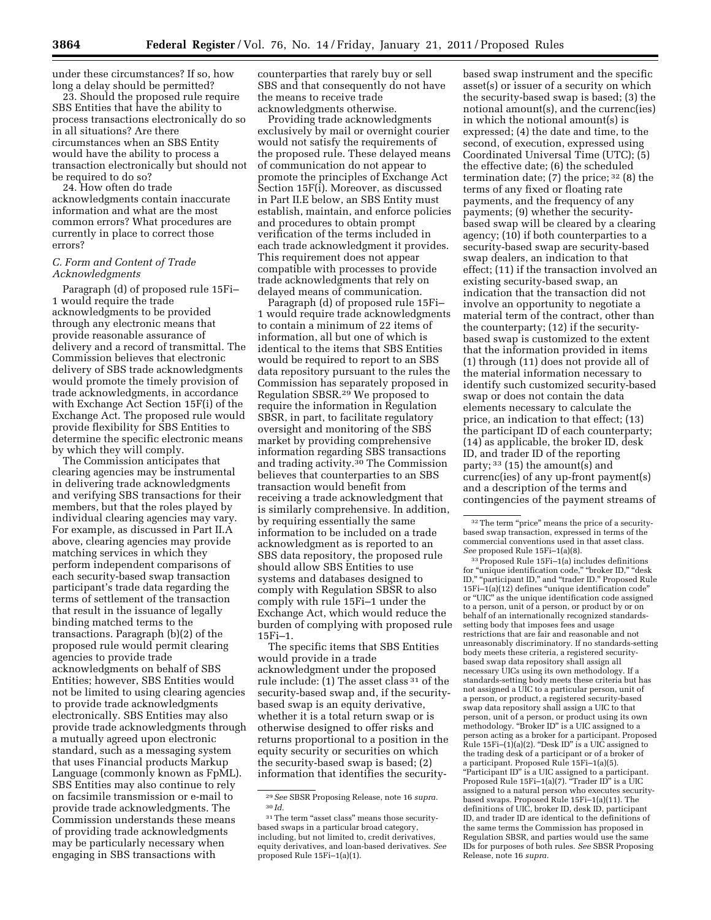under these circumstances? If so, how long a delay should be permitted?

23. Should the proposed rule require SBS Entities that have the ability to process transactions electronically do so in all situations? Are there circumstances when an SBS Entity would have the ability to process a transaction electronically but should not be required to do so?

24. How often do trade acknowledgments contain inaccurate information and what are the most common errors? What procedures are currently in place to correct those errors?

### *C. Form and Content of Trade Acknowledgments*

Paragraph (d) of proposed rule 15Fi– 1 would require the trade acknowledgments to be provided through any electronic means that provide reasonable assurance of delivery and a record of transmittal. The Commission believes that electronic delivery of SBS trade acknowledgments would promote the timely provision of trade acknowledgments, in accordance with Exchange Act Section 15F(i) of the Exchange Act. The proposed rule would provide flexibility for SBS Entities to determine the specific electronic means by which they will comply.

The Commission anticipates that clearing agencies may be instrumental in delivering trade acknowledgments and verifying SBS transactions for their members, but that the roles played by individual clearing agencies may vary. For example, as discussed in Part II.A above, clearing agencies may provide matching services in which they perform independent comparisons of each security-based swap transaction participant's trade data regarding the terms of settlement of the transaction that result in the issuance of legally binding matched terms to the transactions. Paragraph (b)(2) of the proposed rule would permit clearing agencies to provide trade acknowledgments on behalf of SBS Entities; however, SBS Entities would not be limited to using clearing agencies to provide trade acknowledgments electronically. SBS Entities may also provide trade acknowledgments through a mutually agreed upon electronic standard, such as a messaging system that uses Financial products Markup Language (commonly known as FpML). SBS Entities may also continue to rely on facsimile transmission or e-mail to provide trade acknowledgments. The Commission understands these means of providing trade acknowledgments may be particularly necessary when engaging in SBS transactions with

counterparties that rarely buy or sell SBS and that consequently do not have the means to receive trade acknowledgments otherwise.

Providing trade acknowledgments exclusively by mail or overnight courier would not satisfy the requirements of the proposed rule. These delayed means of communication do not appear to promote the principles of Exchange Act Section 15F(i). Moreover, as discussed in Part II.E below, an SBS Entity must establish, maintain, and enforce policies and procedures to obtain prompt verification of the terms included in each trade acknowledgment it provides. This requirement does not appear compatible with processes to provide trade acknowledgments that rely on delayed means of communication.

Paragraph (d) of proposed rule 15Fi– 1 would require trade acknowledgments to contain a minimum of 22 items of information, all but one of which is identical to the items that SBS Entities would be required to report to an SBS data repository pursuant to the rules the Commission has separately proposed in Regulation SBSR.29 We proposed to require the information in Regulation SBSR, in part, to facilitate regulatory oversight and monitoring of the SBS market by providing comprehensive information regarding SBS transactions and trading activity.<sup>30</sup> The Commission believes that counterparties to an SBS transaction would benefit from receiving a trade acknowledgment that is similarly comprehensive. In addition, by requiring essentially the same information to be included on a trade acknowledgment as is reported to an SBS data repository, the proposed rule should allow SBS Entities to use systems and databases designed to comply with Regulation SBSR to also comply with rule 15Fi–1 under the Exchange Act, which would reduce the burden of complying with proposed rule 15Fi–1.

The specific items that SBS Entities would provide in a trade acknowledgment under the proposed rule include: (1) The asset class 31 of the security-based swap and, if the securitybased swap is an equity derivative, whether it is a total return swap or is otherwise designed to offer risks and returns proportional to a position in the equity security or securities on which the security-based swap is based; (2) information that identifies the security-

based swap instrument and the specific asset(s) or issuer of a security on which the security-based swap is based; (3) the notional amount(s), and the currenc(ies) in which the notional amount(s) is expressed; (4) the date and time, to the second, of execution, expressed using Coordinated Universal Time (UTC); (5) the effective date; (6) the scheduled termination date; (7) the price; 32 (8) the terms of any fixed or floating rate payments, and the frequency of any payments; (9) whether the securitybased swap will be cleared by a clearing agency; (10) if both counterparties to a security-based swap are security-based swap dealers, an indication to that effect; (11) if the transaction involved an existing security-based swap, an indication that the transaction did not involve an opportunity to negotiate a material term of the contract, other than the counterparty; (12) if the securitybased swap is customized to the extent that the information provided in items (1) through (11) does not provide all of the material information necessary to identify such customized security-based swap or does not contain the data elements necessary to calculate the price, an indication to that effect; (13) the participant ID of each counterparty; (14) as applicable, the broker ID, desk ID, and trader ID of the reporting party; 33 (15) the amount(s) and currenc(ies) of any up-front payment(s) and a description of the terms and contingencies of the payment streams of

33Proposed Rule 15Fi–1(a) includes definitions for "unique identification code," "broker ID," "desk ID," "participant ID," and "trader ID." Proposed Rule 15Fi–1(a)(12) defines ''unique identification code'' or ''UIC'' as the unique identification code assigned to a person, unit of a person, or product by or on behalf of an internationally recognized standardssetting body that imposes fees and usage restrictions that are fair and reasonable and not unreasonably discriminatory. If no standards-setting body meets these criteria, a registered securitybased swap data repository shall assign all necessary UICs using its own methodology. If a standards-setting body meets these criteria but has not assigned a UIC to a particular person, unit of a person, or product, a registered security-based swap data repository shall assign a UIC to that person, unit of a person, or product using its own methodology. "Broker ID" is a UIC assigned to a person acting as a broker for a participant. Proposed Rule 15Fi–(1)(a)(2). ''Desk ID'' is a UIC assigned to the trading desk of a participant or of a broker of a participant. Proposed Rule 15Fi–1(a)(5). ''Participant ID'' is a UIC assigned to a participant. Proposed Rule 15Fi-1(a)(7). "Trader ID" is a UIC assigned to a natural person who executes securitybased swaps. Proposed Rule 15Fi–1(a)(11). The definitions of UIC, broker ID, desk ID, participant ID, and trader ID are identical to the definitions of the same terms the Commission has proposed in Regulation SBSR, and parties would use the same IDs for purposes of both rules. *See* SBSR Proposing Release, note 16 *supra.* 

<sup>29</sup>*See* SBSR Proposing Release, note 16 *supra.*  30 *Id.* 

<sup>&</sup>lt;sup>31</sup>The term "asset class" means those securitybased swaps in a particular broad category, including, but not limited to, credit derivatives, equity derivatives, and loan-based derivatives. *See*  proposed Rule 15Fi–1(a)(1).

<sup>&</sup>lt;sup>32</sup>The term "price" means the price of a securitybased swap transaction, expressed in terms of the commercial conventions used in that asset class. *See* proposed Rule 15Fi–1(a)(8).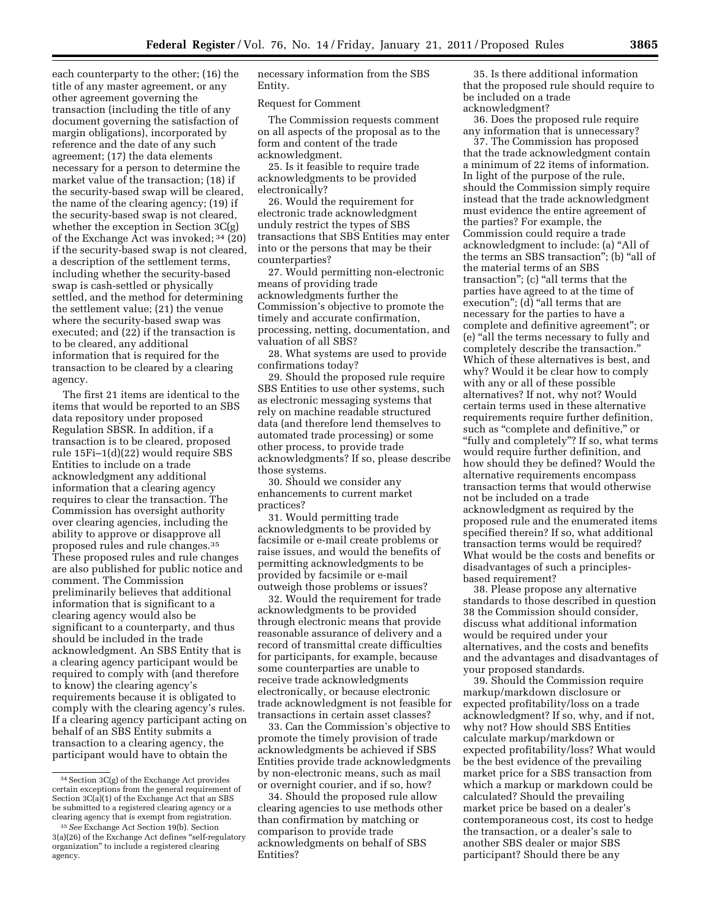each counterparty to the other; (16) the title of any master agreement, or any other agreement governing the transaction (including the title of any document governing the satisfaction of margin obligations), incorporated by reference and the date of any such agreement; (17) the data elements necessary for a person to determine the market value of the transaction; (18) if the security-based swap will be cleared, the name of the clearing agency; (19) if the security-based swap is not cleared, whether the exception in Section 3C(g) of the Exchange Act was invoked; 34 (20) if the security-based swap is not cleared, a description of the settlement terms, including whether the security-based swap is cash-settled or physically settled, and the method for determining the settlement value; (21) the venue where the security-based swap was executed; and (22) if the transaction is to be cleared, any additional information that is required for the transaction to be cleared by a clearing agency.

The first 21 items are identical to the items that would be reported to an SBS data repository under proposed Regulation SBSR. In addition, if a transaction is to be cleared, proposed rule 15Fi–1(d)(22) would require SBS Entities to include on a trade acknowledgment any additional information that a clearing agency requires to clear the transaction. The Commission has oversight authority over clearing agencies, including the ability to approve or disapprove all proposed rules and rule changes.35 These proposed rules and rule changes are also published for public notice and comment. The Commission preliminarily believes that additional information that is significant to a clearing agency would also be significant to a counterparty, and thus should be included in the trade acknowledgment. An SBS Entity that is a clearing agency participant would be required to comply with (and therefore to know) the clearing agency's requirements because it is obligated to comply with the clearing agency's rules. If a clearing agency participant acting on behalf of an SBS Entity submits a transaction to a clearing agency, the participant would have to obtain the

necessary information from the SBS Entity.

#### Request for Comment

The Commission requests comment on all aspects of the proposal as to the form and content of the trade acknowledgment.

25. Is it feasible to require trade acknowledgments to be provided electronically?

26. Would the requirement for electronic trade acknowledgment unduly restrict the types of SBS transactions that SBS Entities may enter into or the persons that may be their counterparties?

27. Would permitting non-electronic means of providing trade acknowledgments further the Commission's objective to promote the timely and accurate confirmation, processing, netting, documentation, and valuation of all SBS?

28. What systems are used to provide confirmations today?

29. Should the proposed rule require SBS Entities to use other systems, such as electronic messaging systems that rely on machine readable structured data (and therefore lend themselves to automated trade processing) or some other process, to provide trade acknowledgments? If so, please describe those systems.

30. Should we consider any enhancements to current market practices?

31. Would permitting trade acknowledgments to be provided by facsimile or e-mail create problems or raise issues, and would the benefits of permitting acknowledgments to be provided by facsimile or e-mail outweigh those problems or issues?

32. Would the requirement for trade acknowledgments to be provided through electronic means that provide reasonable assurance of delivery and a record of transmittal create difficulties for participants, for example, because some counterparties are unable to receive trade acknowledgments electronically, or because electronic trade acknowledgment is not feasible for transactions in certain asset classes?

33. Can the Commission's objective to promote the timely provision of trade acknowledgments be achieved if SBS Entities provide trade acknowledgments by non-electronic means, such as mail or overnight courier, and if so, how?

34. Should the proposed rule allow clearing agencies to use methods other than confirmation by matching or comparison to provide trade acknowledgments on behalf of SBS Entities?

35. Is there additional information that the proposed rule should require to be included on a trade acknowledgment?

36. Does the proposed rule require any information that is unnecessary?

37. The Commission has proposed that the trade acknowledgment contain a minimum of 22 items of information. In light of the purpose of the rule, should the Commission simply require instead that the trade acknowledgment must evidence the entire agreement of the parties? For example, the Commission could require a trade acknowledgment to include: (a) ''All of the terms an SBS transaction''; (b) ''all of the material terms of an SBS transaction"; (c) "all terms that the parties have agreed to at the time of execution"; (d) "all terms that are necessary for the parties to have a complete and definitive agreement''; or (e) ''all the terms necessary to fully and completely describe the transaction.'' Which of these alternatives is best, and why? Would it be clear how to comply with any or all of these possible alternatives? If not, why not? Would certain terms used in these alternative requirements require further definition, such as "complete and definitive," or ''fully and completely''? If so, what terms would require further definition, and how should they be defined? Would the alternative requirements encompass transaction terms that would otherwise not be included on a trade acknowledgment as required by the proposed rule and the enumerated items specified therein? If so, what additional transaction terms would be required? What would be the costs and benefits or disadvantages of such a principlesbased requirement?

38. Please propose any alternative standards to those described in question 38 the Commission should consider, discuss what additional information would be required under your alternatives, and the costs and benefits and the advantages and disadvantages of your proposed standards.

39. Should the Commission require markup/markdown disclosure or expected profitability/loss on a trade acknowledgment? If so, why, and if not, why not? How should SBS Entities calculate markup/markdown or expected profitability/loss? What would be the best evidence of the prevailing market price for a SBS transaction from which a markup or markdown could be calculated? Should the prevailing market price be based on a dealer's contemporaneous cost, its cost to hedge the transaction, or a dealer's sale to another SBS dealer or major SBS participant? Should there be any

<sup>34</sup>Section 3C(g) of the Exchange Act provides certain exceptions from the general requirement of Section 3C(a)(1) of the Exchange Act that an SBS be submitted to a registered clearing agency or a clearing agency that is exempt from registration.

<sup>35</sup>*See* Exchange Act Section 19(b). Section 3(a)(26) of the Exchange Act defines ''self-regulatory organization'' to include a registered clearing agency.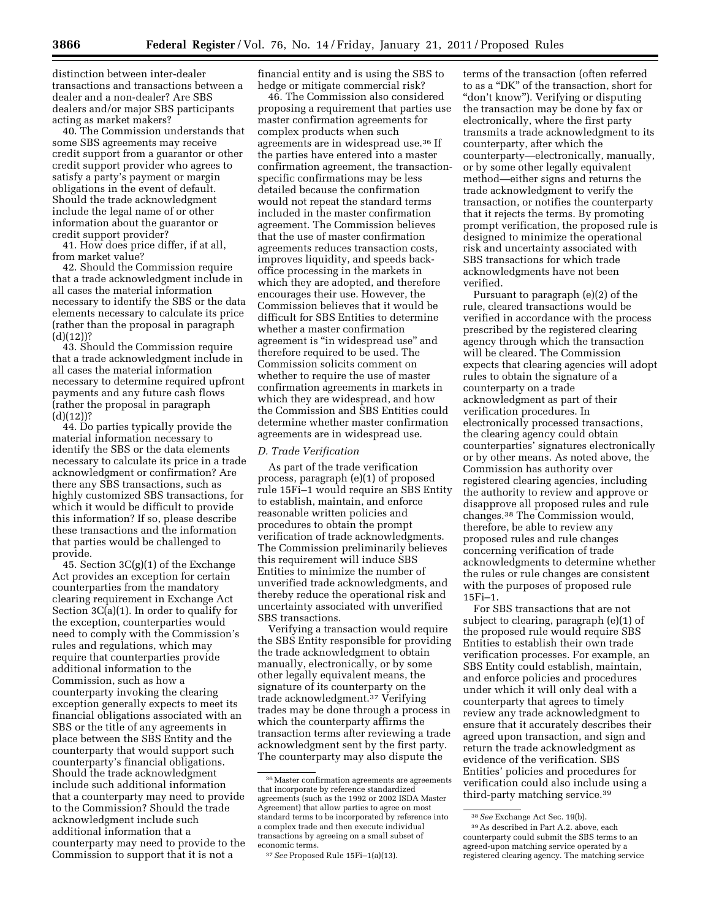distinction between inter-dealer transactions and transactions between a dealer and a non-dealer? Are SBS dealers and/or major SBS participants acting as market makers?

40. The Commission understands that some SBS agreements may receive credit support from a guarantor or other credit support provider who agrees to satisfy a party's payment or margin obligations in the event of default. Should the trade acknowledgment include the legal name of or other information about the guarantor or credit support provider?

41. How does price differ, if at all, from market value?

42. Should the Commission require that a trade acknowledgment include in all cases the material information necessary to identify the SBS or the data elements necessary to calculate its price (rather than the proposal in paragraph  $(d)(12)$ ?

43. Should the Commission require that a trade acknowledgment include in all cases the material information necessary to determine required upfront payments and any future cash flows (rather the proposal in paragraph  $(d)(12))$ ?

44. Do parties typically provide the material information necessary to identify the SBS or the data elements necessary to calculate its price in a trade acknowledgment or confirmation? Are there any SBS transactions, such as highly customized SBS transactions, for which it would be difficult to provide this information? If so, please describe these transactions and the information that parties would be challenged to provide.

45. Section 3C(g)(1) of the Exchange Act provides an exception for certain counterparties from the mandatory clearing requirement in Exchange Act Section 3C(a)(1). In order to qualify for the exception, counterparties would need to comply with the Commission's rules and regulations, which may require that counterparties provide additional information to the Commission, such as how a counterparty invoking the clearing exception generally expects to meet its financial obligations associated with an SBS or the title of any agreements in place between the SBS Entity and the counterparty that would support such counterparty's financial obligations. Should the trade acknowledgment include such additional information that a counterparty may need to provide to the Commission? Should the trade acknowledgment include such additional information that a counterparty may need to provide to the Commission to support that it is not a

financial entity and is using the SBS to hedge or mitigate commercial risk?

46. The Commission also considered proposing a requirement that parties use master confirmation agreements for complex products when such agreements are in widespread use.36 If the parties have entered into a master confirmation agreement, the transactionspecific confirmations may be less detailed because the confirmation would not repeat the standard terms included in the master confirmation agreement. The Commission believes that the use of master confirmation agreements reduces transaction costs, improves liquidity, and speeds backoffice processing in the markets in which they are adopted, and therefore encourages their use. However, the Commission believes that it would be difficult for SBS Entities to determine whether a master confirmation agreement is ''in widespread use'' and therefore required to be used. The Commission solicits comment on whether to require the use of master confirmation agreements in markets in which they are widespread, and how the Commission and SBS Entities could determine whether master confirmation agreements are in widespread use.

### *D. Trade Verification*

As part of the trade verification process, paragraph (e)(1) of proposed rule 15Fi–1 would require an SBS Entity to establish, maintain, and enforce reasonable written policies and procedures to obtain the prompt verification of trade acknowledgments. The Commission preliminarily believes this requirement will induce SBS Entities to minimize the number of unverified trade acknowledgments, and thereby reduce the operational risk and uncertainty associated with unverified SBS transactions.

Verifying a transaction would require the SBS Entity responsible for providing the trade acknowledgment to obtain manually, electronically, or by some other legally equivalent means, the signature of its counterparty on the trade acknowledgment.37 Verifying trades may be done through a process in which the counterparty affirms the transaction terms after reviewing a trade acknowledgment sent by the first party. The counterparty may also dispute the

terms of the transaction (often referred to as a ''DK'' of the transaction, short for ''don't know''). Verifying or disputing the transaction may be done by fax or electronically, where the first party transmits a trade acknowledgment to its counterparty, after which the counterparty—electronically, manually, or by some other legally equivalent method—either signs and returns the trade acknowledgment to verify the transaction, or notifies the counterparty that it rejects the terms. By promoting prompt verification, the proposed rule is designed to minimize the operational risk and uncertainty associated with SBS transactions for which trade acknowledgments have not been verified.

Pursuant to paragraph (e)(2) of the rule, cleared transactions would be verified in accordance with the process prescribed by the registered clearing agency through which the transaction will be cleared. The Commission expects that clearing agencies will adopt rules to obtain the signature of a counterparty on a trade acknowledgment as part of their verification procedures. In electronically processed transactions, the clearing agency could obtain counterparties' signatures electronically or by other means. As noted above, the Commission has authority over registered clearing agencies, including the authority to review and approve or disapprove all proposed rules and rule changes.38 The Commission would, therefore, be able to review any proposed rules and rule changes concerning verification of trade acknowledgments to determine whether the rules or rule changes are consistent with the purposes of proposed rule 15Fi–1.

For SBS transactions that are not subject to clearing, paragraph (e)(1) of the proposed rule would require SBS Entities to establish their own trade verification processes. For example, an SBS Entity could establish, maintain, and enforce policies and procedures under which it will only deal with a counterparty that agrees to timely review any trade acknowledgment to ensure that it accurately describes their agreed upon transaction, and sign and return the trade acknowledgment as evidence of the verification. SBS Entities' policies and procedures for verification could also include using a third-party matching service.39

<sup>36</sup>Master confirmation agreements are agreements that incorporate by reference standardized agreements (such as the 1992 or 2002 ISDA Master Agreement) that allow parties to agree on most standard terms to be incorporated by reference into a complex trade and then execute individual transactions by agreeing on a small subset of economic terms.

<sup>37</sup>*See* Proposed Rule 15Fi–1(a)(13).

<sup>38</sup>*See* Exchange Act Sec. 19(b).

<sup>39</sup>As described in Part A.2. above, each counterparty could submit the SBS terms to an agreed-upon matching service operated by a registered clearing agency. The matching service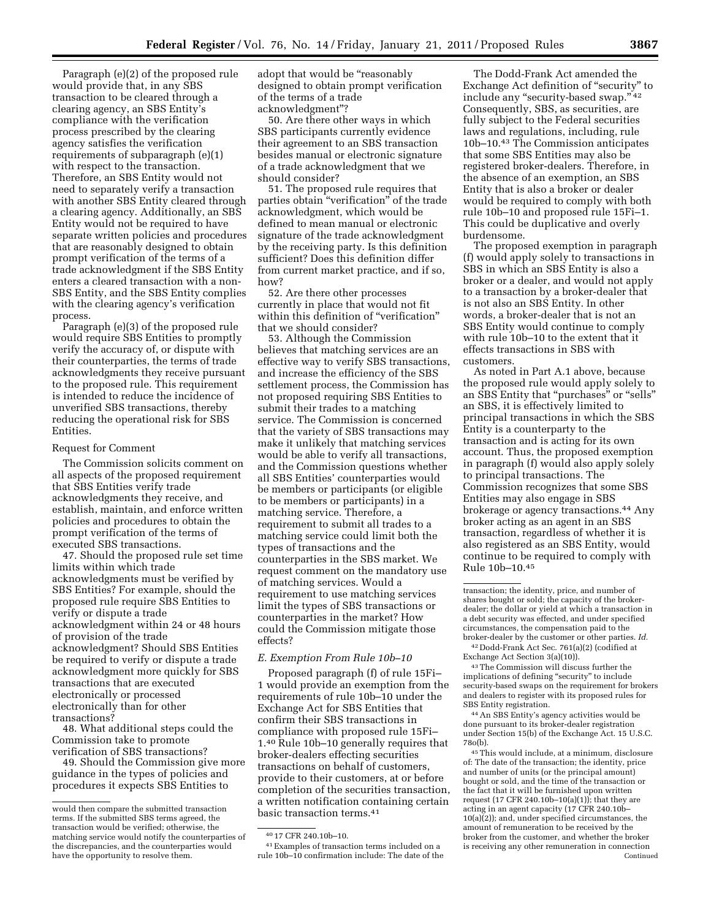Paragraph (e)(2) of the proposed rule would provide that, in any SBS transaction to be cleared through a clearing agency, an SBS Entity's compliance with the verification process prescribed by the clearing agency satisfies the verification requirements of subparagraph (e)(1) with respect to the transaction. Therefore, an SBS Entity would not need to separately verify a transaction with another SBS Entity cleared through a clearing agency. Additionally, an SBS Entity would not be required to have separate written policies and procedures that are reasonably designed to obtain prompt verification of the terms of a trade acknowledgment if the SBS Entity enters a cleared transaction with a non-SBS Entity, and the SBS Entity complies with the clearing agency's verification process.

Paragraph (e)(3) of the proposed rule would require SBS Entities to promptly verify the accuracy of, or dispute with their counterparties, the terms of trade acknowledgments they receive pursuant to the proposed rule. This requirement is intended to reduce the incidence of unverified SBS transactions, thereby reducing the operational risk for SBS Entities.

#### Request for Comment

The Commission solicits comment on all aspects of the proposed requirement that SBS Entities verify trade acknowledgments they receive, and establish, maintain, and enforce written policies and procedures to obtain the prompt verification of the terms of executed SBS transactions.

47. Should the proposed rule set time limits within which trade acknowledgments must be verified by SBS Entities? For example, should the proposed rule require SBS Entities to verify or dispute a trade acknowledgment within 24 or 48 hours of provision of the trade acknowledgment? Should SBS Entities be required to verify or dispute a trade acknowledgment more quickly for SBS transactions that are executed electronically or processed electronically than for other transactions?

48. What additional steps could the Commission take to promote verification of SBS transactions?

49. Should the Commission give more guidance in the types of policies and procedures it expects SBS Entities to

adopt that would be "reasonably designed to obtain prompt verification of the terms of a trade acknowledgment''?

50. Are there other ways in which SBS participants currently evidence their agreement to an SBS transaction besides manual or electronic signature of a trade acknowledgment that we should consider?

51. The proposed rule requires that parties obtain ''verification'' of the trade acknowledgment, which would be defined to mean manual or electronic signature of the trade acknowledgment by the receiving party. Is this definition sufficient? Does this definition differ from current market practice, and if so, how?

52. Are there other processes currently in place that would not fit within this definition of "verification" that we should consider?

53. Although the Commission believes that matching services are an effective way to verify SBS transactions, and increase the efficiency of the SBS settlement process, the Commission has not proposed requiring SBS Entities to submit their trades to a matching service. The Commission is concerned that the variety of SBS transactions may make it unlikely that matching services would be able to verify all transactions, and the Commission questions whether all SBS Entities' counterparties would be members or participants (or eligible to be members or participants) in a matching service. Therefore, a requirement to submit all trades to a matching service could limit both the types of transactions and the counterparties in the SBS market. We request comment on the mandatory use of matching services. Would a requirement to use matching services limit the types of SBS transactions or counterparties in the market? How could the Commission mitigate those effects?

#### *E. Exemption From Rule 10b–10*

Proposed paragraph (f) of rule 15Fi– 1 would provide an exemption from the requirements of rule 10b–10 under the Exchange Act for SBS Entities that confirm their SBS transactions in compliance with proposed rule 15Fi– 1.40 Rule 10b–10 generally requires that broker-dealers effecting securities transactions on behalf of customers, provide to their customers, at or before completion of the securities transaction, a written notification containing certain basic transaction terms.41

41Examples of transaction terms included on a rule 10b–10 confirmation include: The date of the

The Dodd-Frank Act amended the Exchange Act definition of "security" to include any "security-based swap." 42 Consequently, SBS, as securities, are fully subject to the Federal securities laws and regulations, including, rule 10b–10.43 The Commission anticipates that some SBS Entities may also be registered broker-dealers. Therefore, in the absence of an exemption, an SBS Entity that is also a broker or dealer would be required to comply with both rule 10b–10 and proposed rule 15Fi–1. This could be duplicative and overly burdensome.

The proposed exemption in paragraph (f) would apply solely to transactions in SBS in which an SBS Entity is also a broker or a dealer, and would not apply to a transaction by a broker-dealer that is not also an SBS Entity. In other words, a broker-dealer that is not an SBS Entity would continue to comply with rule 10b–10 to the extent that it effects transactions in SBS with customers.

As noted in Part A.1 above, because the proposed rule would apply solely to an SBS Entity that ''purchases'' or ''sells'' an SBS, it is effectively limited to principal transactions in which the SBS Entity is a counterparty to the transaction and is acting for its own account. Thus, the proposed exemption in paragraph (f) would also apply solely to principal transactions. The Commission recognizes that some SBS Entities may also engage in SBS brokerage or agency transactions.44 Any broker acting as an agent in an SBS transaction, regardless of whether it is also registered as an SBS Entity, would continue to be required to comply with Rule 10b–10.45

42 Dodd-Frank Act Sec. 761(a)(2) (codified at Exchange Act Section 3(a)(10)).

43The Commission will discuss further the implications of defining "security" to include security-based swaps on the requirement for brokers and dealers to register with its proposed rules for SBS Entity registration.

44An SBS Entity's agency activities would be done pursuant to its broker-dealer registration under Section 15(b) of the Exchange Act. 15 U.S.C. 78o(b).

45This would include, at a minimum, disclosure of: The date of the transaction; the identity, price and number of units (or the principal amount) bought or sold, and the time of the transaction or the fact that it will be furnished upon written request (17 CFR 240.10b–10(a)(1)); that they are acting in an agent capacity (17 CFR 240.10b–  $10(a)(2)$ ; and, under specified circumstances, the amount of remuneration to be received by the broker from the customer, and whether the broker is receiving any other remuneration in connection Continued

would then compare the submitted transaction terms. If the submitted SBS terms agreed, the transaction would be verified; otherwise, the matching service would notify the counterparties of the discrepancies, and the counterparties would have the opportunity to resolve them.

<sup>40</sup> 17 CFR 240.10b–10.

transaction; the identity, price, and number of shares bought or sold; the capacity of the brokerdealer; the dollar or yield at which a transaction in a debt security was effected, and under specified circumstances, the compensation paid to the broker-dealer by the customer or other parties. *Id.*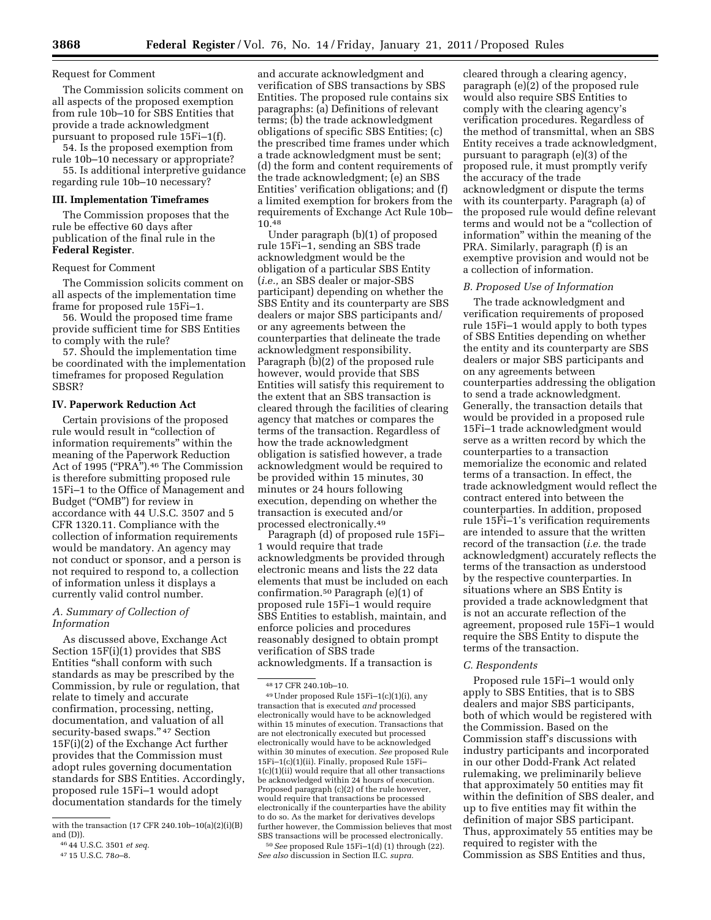## Request for Comment

The Commission solicits comment on all aspects of the proposed exemption from rule 10b–10 for SBS Entities that provide a trade acknowledgment pursuant to proposed rule 15Fi–1(f).

54. Is the proposed exemption from rule 10b–10 necessary or appropriate?

55. Is additional interpretive guidance regarding rule 10b–10 necessary?

## **III. Implementation Timeframes**

The Commission proposes that the rule be effective 60 days after publication of the final rule in the **Federal Register**.

#### Request for Comment

The Commission solicits comment on all aspects of the implementation time frame for proposed rule 15Fi–1.

56. Would the proposed time frame provide sufficient time for SBS Entities to comply with the rule?

57. Should the implementation time be coordinated with the implementation timeframes for proposed Regulation SBSR?

### **IV. Paperwork Reduction Act**

Certain provisions of the proposed rule would result in ''collection of information requirements'' within the meaning of the Paperwork Reduction Act of 1995 ("PRA").<sup>46</sup> The Commission is therefore submitting proposed rule 15Fi–1 to the Office of Management and Budget (''OMB'') for review in accordance with 44 U.S.C. 3507 and 5 CFR 1320.11. Compliance with the collection of information requirements would be mandatory. An agency may not conduct or sponsor, and a person is not required to respond to, a collection of information unless it displays a currently valid control number.

# *A. Summary of Collection of Information*

As discussed above, Exchange Act Section 15F(i)(1) provides that SBS Entities ''shall conform with such standards as may be prescribed by the Commission, by rule or regulation, that relate to timely and accurate confirmation, processing, netting, documentation, and valuation of all security-based swaps." 47 Section 15F(i)(2) of the Exchange Act further provides that the Commission must adopt rules governing documentation standards for SBS Entities. Accordingly, proposed rule 15Fi–1 would adopt documentation standards for the timely

and accurate acknowledgment and verification of SBS transactions by SBS Entities. The proposed rule contains six paragraphs: (a) Definitions of relevant terms; (b) the trade acknowledgment obligations of specific SBS Entities; (c) the prescribed time frames under which a trade acknowledgment must be sent; (d) the form and content requirements of the trade acknowledgment; (e) an SBS Entities' verification obligations; and (f) a limited exemption for brokers from the requirements of Exchange Act Rule 10b– 10.48

Under paragraph (b)(1) of proposed rule 15Fi–1, sending an SBS trade acknowledgment would be the obligation of a particular SBS Entity (*i.e.,* an SBS dealer or major-SBS participant) depending on whether the SBS Entity and its counterparty are SBS dealers or major SBS participants and/ or any agreements between the counterparties that delineate the trade acknowledgment responsibility. Paragraph (b)(2) of the proposed rule however, would provide that SBS Entities will satisfy this requirement to the extent that an SBS transaction is cleared through the facilities of clearing agency that matches or compares the terms of the transaction. Regardless of how the trade acknowledgment obligation is satisfied however, a trade acknowledgment would be required to be provided within 15 minutes, 30 minutes or 24 hours following execution, depending on whether the transaction is executed and/or processed electronically.49

Paragraph (d) of proposed rule 15Fi– 1 would require that trade acknowledgments be provided through electronic means and lists the 22 data elements that must be included on each confirmation.50 Paragraph (e)(1) of proposed rule 15Fi–1 would require SBS Entities to establish, maintain, and enforce policies and procedures reasonably designed to obtain prompt verification of SBS trade acknowledgments. If a transaction is

*See also* discussion in Section II.C. *supra.* 

cleared through a clearing agency, paragraph (e)(2) of the proposed rule would also require SBS Entities to comply with the clearing agency's verification procedures. Regardless of the method of transmittal, when an SBS Entity receives a trade acknowledgment, pursuant to paragraph (e)(3) of the proposed rule, it must promptly verify the accuracy of the trade acknowledgment or dispute the terms with its counterparty. Paragraph (a) of the proposed rule would define relevant terms and would not be a ''collection of information'' within the meaning of the PRA. Similarly, paragraph (f) is an exemptive provision and would not be a collection of information.

# *B. Proposed Use of Information*

The trade acknowledgment and verification requirements of proposed rule 15Fi–1 would apply to both types of SBS Entities depending on whether the entity and its counterparty are SBS dealers or major SBS participants and on any agreements between counterparties addressing the obligation to send a trade acknowledgment. Generally, the transaction details that would be provided in a proposed rule 15Fi–1 trade acknowledgment would serve as a written record by which the counterparties to a transaction memorialize the economic and related terms of a transaction. In effect, the trade acknowledgment would reflect the contract entered into between the counterparties. In addition, proposed rule 15Fi–1's verification requirements are intended to assure that the written record of the transaction (*i.e.* the trade acknowledgment) accurately reflects the terms of the transaction as understood by the respective counterparties. In situations where an SBS Entity is provided a trade acknowledgment that is not an accurate reflection of the agreement, proposed rule 15Fi–1 would require the SBS Entity to dispute the terms of the transaction.

#### *C. Respondents*

Proposed rule 15Fi–1 would only apply to SBS Entities, that is to SBS dealers and major SBS participants, both of which would be registered with the Commission. Based on the Commission staff's discussions with industry participants and incorporated in our other Dodd-Frank Act related rulemaking, we preliminarily believe that approximately 50 entities may fit within the definition of SBS dealer, and up to five entities may fit within the definition of major SBS participant. Thus, approximately 55 entities may be required to register with the Commission as SBS Entities and thus,

with the transaction (17 CFR 240.10b–10(a)(2)(i)(B) and (D)).

<sup>46</sup> 44 U.S.C. 3501 *et seq.* 

<sup>47</sup> 15 U.S.C. 78*o*–8.

<sup>48</sup> 17 CFR 240.10b–10.

<sup>49</sup>Under proposed Rule 15Fi–1(c)(1)(i), any transaction that is executed *and* processed electronically would have to be acknowledged within 15 minutes of execution. Transactions that are not electronically executed but processed electronically would have to be acknowledged within 30 minutes of execution. *See* proposed Rule 15Fi–1(c)(1)(ii). Finally, proposed Rule 15Fi– 1(c)(1)(ii) would require that all other transactions be acknowledged within 24 hours of execution. Proposed paragraph (c)(2) of the rule however, would require that transactions be processed electronically if the counterparties have the ability to do so. As the market for derivatives develops further however, the Commission believes that most SBS transactions will be processed electronically. 50*See* proposed Rule 15Fi–1(d) (1) through (22).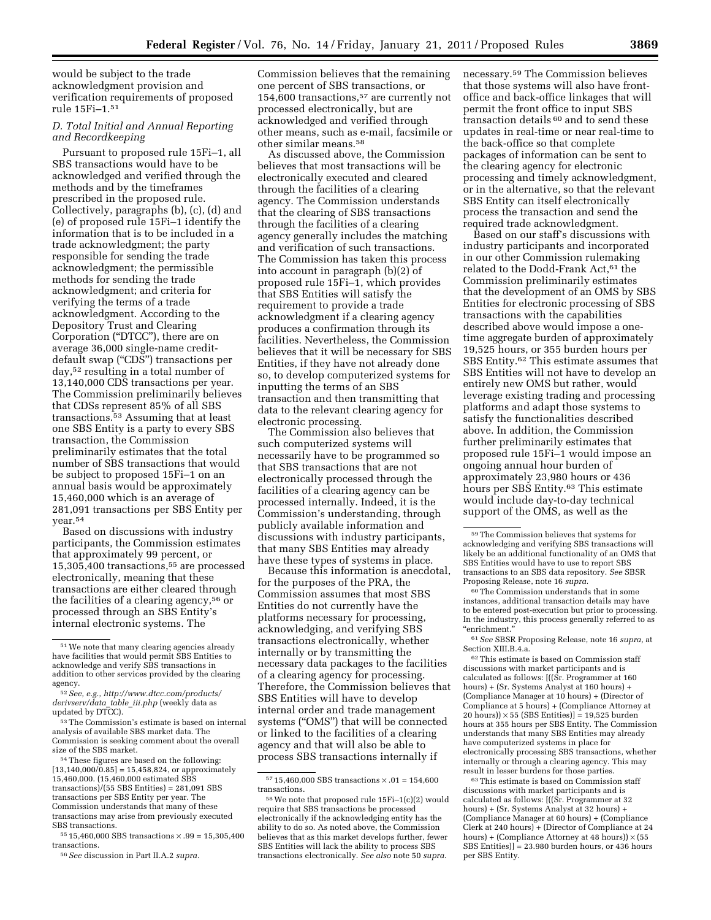would be subject to the trade acknowledgment provision and verification requirements of proposed rule 15Fi–1.51

# *D. Total Initial and Annual Reporting and Recordkeeping*

Pursuant to proposed rule 15Fi–1, all SBS transactions would have to be acknowledged and verified through the methods and by the timeframes prescribed in the proposed rule. Collectively, paragraphs (b), (c), (d) and (e) of proposed rule 15Fi–1 identify the information that is to be included in a trade acknowledgment; the party responsible for sending the trade acknowledgment; the permissible methods for sending the trade acknowledgment; and criteria for verifying the terms of a trade acknowledgment. According to the Depository Trust and Clearing Corporation (''DTCC''), there are on average 36,000 single-name creditdefault swap ("CDS") transactions per day,52 resulting in a total number of 13,140,000 CDS transactions per year. The Commission preliminarily believes that CDSs represent 85% of all SBS transactions.53 Assuming that at least one SBS Entity is a party to every SBS transaction, the Commission preliminarily estimates that the total number of SBS transactions that would be subject to proposed 15Fi–1 on an annual basis would be approximately 15,460,000 which is an average of 281,091 transactions per SBS Entity per year.54

Based on discussions with industry participants, the Commission estimates that approximately 99 percent, or 15,305,400 transactions,55 are processed electronically, meaning that these transactions are either cleared through the facilities of a clearing agency,<sup>56</sup> or processed through an SBS Entity's internal electronic systems. The

54These figures are based on the following:  $[13,140,000/0.85] = 15,458,824$ , or approximately 15,460,000. (15,460,000 estimated SBS transactions)/(55 SBS Entities) = 281,091 SBS transactions per SBS Entity per year. The Commission understands that many of these transactions may arise from previously executed SBS transactions.

 $^{55}$  15,460,000 SBS transactions  $\times$  .99 = 15,305,400 transactions.

Commission believes that the remaining one percent of SBS transactions, or 154,600 transactions,57 are currently not processed electronically, but are acknowledged and verified through other means, such as e-mail, facsimile or other similar means.58

As discussed above, the Commission believes that most transactions will be electronically executed and cleared through the facilities of a clearing agency. The Commission understands that the clearing of SBS transactions through the facilities of a clearing agency generally includes the matching and verification of such transactions. The Commission has taken this process into account in paragraph (b)(2) of proposed rule 15Fi–1, which provides that SBS Entities will satisfy the requirement to provide a trade acknowledgment if a clearing agency produces a confirmation through its facilities. Nevertheless, the Commission believes that it will be necessary for SBS Entities, if they have not already done so, to develop computerized systems for inputting the terms of an SBS transaction and then transmitting that data to the relevant clearing agency for electronic processing.

The Commission also believes that such computerized systems will necessarily have to be programmed so that SBS transactions that are not electronically processed through the facilities of a clearing agency can be processed internally. Indeed, it is the Commission's understanding, through publicly available information and discussions with industry participants, that many SBS Entities may already have these types of systems in place.

Because this information is anecdotal, for the purposes of the PRA, the Commission assumes that most SBS Entities do not currently have the platforms necessary for processing, acknowledging, and verifying SBS transactions electronically, whether internally or by transmitting the necessary data packages to the facilities of a clearing agency for processing. Therefore, the Commission believes that SBS Entities will have to develop internal order and trade management systems ("OMS") that will be connected or linked to the facilities of a clearing agency and that will also be able to process SBS transactions internally if

necessary.59 The Commission believes that those systems will also have frontoffice and back-office linkages that will permit the front office to input SBS transaction details 60 and to send these updates in real-time or near real-time to the back-office so that complete packages of information can be sent to the clearing agency for electronic processing and timely acknowledgment, or in the alternative, so that the relevant SBS Entity can itself electronically process the transaction and send the required trade acknowledgment.

Based on our staff's discussions with industry participants and incorporated in our other Commission rulemaking related to the Dodd-Frank Act,<sup>61</sup> the Commission preliminarily estimates that the development of an OMS by SBS Entities for electronic processing of SBS transactions with the capabilities described above would impose a onetime aggregate burden of approximately 19,525 hours, or 355 burden hours per SBS Entity.62 This estimate assumes that SBS Entities will not have to develop an entirely new OMS but rather, would leverage existing trading and processing platforms and adapt those systems to satisfy the functionalities described above. In addition, the Commission further preliminarily estimates that proposed rule 15Fi–1 would impose an ongoing annual hour burden of approximately 23,980 hours or 436 hours per SBS Entity.63 This estimate would include day-to-day technical support of the OMS, as well as the

60The Commission understands that in some instances, additional transaction details may have to be entered post-execution but prior to processing. In the industry, this process generally referred to as ''enrichment.''

61*See* SBSR Proposing Release, note 16 *supra,* at Section XIII.B.4.a.

62This estimate is based on Commission staff discussions with market participants and is calculated as follows: [((Sr. Programmer at 160 hours) + (Sr. Systems Analyst at 160 hours) + (Compliance Manager at 10 hours) + (Director of Compliance at 5 hours) + (Compliance Attorney at  $20 \text{ hours}$ )  $\times$  55 (SBS Entities)] = 19,525 burden hours at 355 hours per SBS Entity. The Commission understands that many SBS Entities may already have computerized systems in place for electronically processing SBS transactions, whether internally or through a clearing agency. This may result in lesser burdens for those parties.

63This estimate is based on Commission staff discussions with market participants and is calculated as follows: [((Sr. Programmer at 32 hours) + (Sr. Systems Analyst at 32 hours) + (Compliance Manager at 60 hours) + (Compliance Clerk at 240 hours) + (Director of Compliance at 24 hours) + (Compliance Attorney at 48 hours))  $\times$  (55 SBS Entities)] = 23.980 burden hours, or 436 hours per SBS Entity.

<sup>51</sup>We note that many clearing agencies already have facilities that would permit SBS Entities to acknowledge and verify SBS transactions in addition to other services provided by the clearing agency.

<sup>52</sup>*See, e.g., [http://www.dtcc.com/products/](http://www.dtcc.com/products/derivserv/data_table_iii.php)  [derivserv/data](http://www.dtcc.com/products/derivserv/data_table_iii.php)*\_*table*\_*iii.php* (weekly data as updated by DTCC).

<sup>53</sup>The Commission's estimate is based on internal analysis of available SBS market data. The Commission is seeking comment about the overall size of the SBS market.

<sup>56</sup>*See* discussion in Part II.A.2 *supra.* 

 $^{57}$  15,460,000 SBS transactions  $\times$  .01 = 154,600 transactions.

<sup>58</sup>We note that proposed rule 15Fi–1(c)(2) would require that SBS transactions be processed electronically if the acknowledging entity has the ability to do so. As noted above, the Commission believes that as this market develops further, fewer SBS Entities will lack the ability to process SBS transactions electronically. *See also* note 50 *supra.* 

<sup>59</sup>The Commission believes that systems for acknowledging and verifying SBS transactions will likely be an additional functionality of an OMS that SBS Entities would have to use to report SBS transactions to an SBS data repository. *See* SBSR Proposing Release, note 16 *supra.*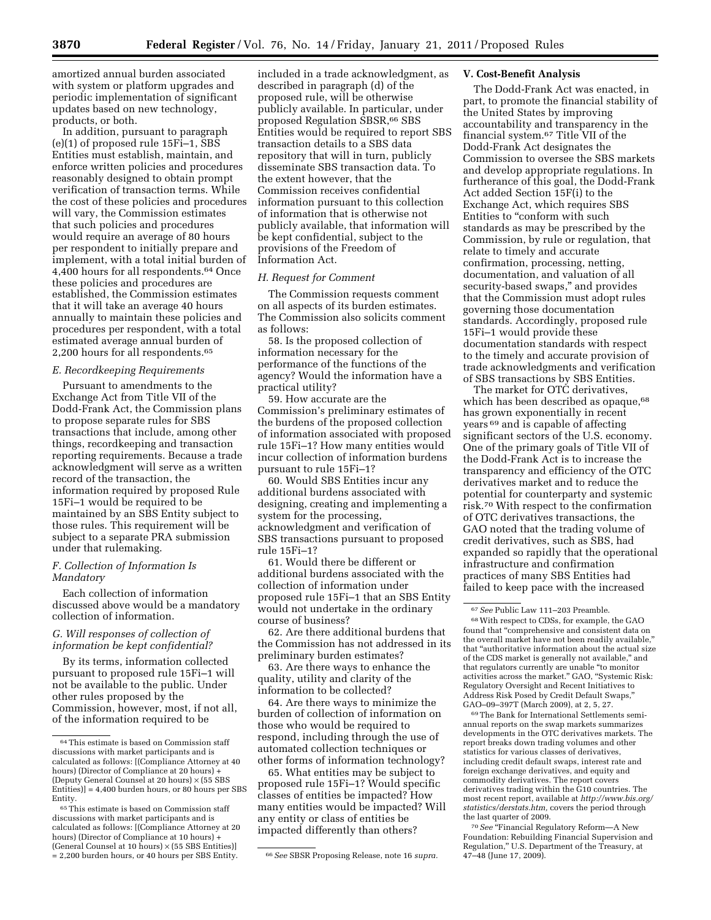amortized annual burden associated with system or platform upgrades and periodic implementation of significant updates based on new technology, products, or both.

In addition, pursuant to paragraph (e)(1) of proposed rule 15Fi–1, SBS Entities must establish, maintain, and enforce written policies and procedures reasonably designed to obtain prompt verification of transaction terms. While the cost of these policies and procedures will vary, the Commission estimates that such policies and procedures would require an average of 80 hours per respondent to initially prepare and implement, with a total initial burden of 4,400 hours for all respondents.64 Once these policies and procedures are established, the Commission estimates that it will take an average 40 hours annually to maintain these policies and procedures per respondent, with a total estimated average annual burden of 2,200 hours for all respondents.65

## *E. Recordkeeping Requirements*

Pursuant to amendments to the Exchange Act from Title VII of the Dodd-Frank Act, the Commission plans to propose separate rules for SBS transactions that include, among other things, recordkeeping and transaction reporting requirements. Because a trade acknowledgment will serve as a written record of the transaction, the information required by proposed Rule 15Fi–1 would be required to be maintained by an SBS Entity subject to those rules. This requirement will be subject to a separate PRA submission under that rulemaking.

## *F. Collection of Information Is Mandatory*

Each collection of information discussed above would be a mandatory collection of information.

# *G. Will responses of collection of information be kept confidential?*

By its terms, information collected pursuant to proposed rule 15Fi–1 will not be available to the public. Under other rules proposed by the Commission, however, most, if not all, of the information required to be

included in a trade acknowledgment, as described in paragraph (d) of the proposed rule, will be otherwise publicly available. In particular, under proposed Regulation SBSR,66 SBS Entities would be required to report SBS transaction details to a SBS data repository that will in turn, publicly disseminate SBS transaction data. To the extent however, that the Commission receives confidential information pursuant to this collection of information that is otherwise not publicly available, that information will be kept confidential, subject to the provisions of the Freedom of Information Act.

#### *H. Request for Comment*

The Commission requests comment on all aspects of its burden estimates. The Commission also solicits comment as follows:

58. Is the proposed collection of information necessary for the performance of the functions of the agency? Would the information have a practical utility?

59. How accurate are the Commission's preliminary estimates of the burdens of the proposed collection of information associated with proposed rule 15Fi–1? How many entities would incur collection of information burdens pursuant to rule 15Fi–1?

60. Would SBS Entities incur any additional burdens associated with designing, creating and implementing a system for the processing, acknowledgment and verification of SBS transactions pursuant to proposed rule 15Fi–1?

61. Would there be different or additional burdens associated with the collection of information under proposed rule 15Fi–1 that an SBS Entity would not undertake in the ordinary course of business?

62. Are there additional burdens that the Commission has not addressed in its preliminary burden estimates?

63. Are there ways to enhance the quality, utility and clarity of the information to be collected?

64. Are there ways to minimize the burden of collection of information on those who would be required to respond, including through the use of automated collection techniques or other forms of information technology?

65. What entities may be subject to proposed rule 15Fi–1? Would specific classes of entities be impacted? How many entities would be impacted? Will any entity or class of entities be impacted differently than others?

## **V. Cost-Benefit Analysis**

The Dodd-Frank Act was enacted, in part, to promote the financial stability of the United States by improving accountability and transparency in the financial system.67 Title VII of the Dodd-Frank Act designates the Commission to oversee the SBS markets and develop appropriate regulations. In furtherance of this goal, the Dodd-Frank Act added Section 15F(i) to the Exchange Act, which requires SBS Entities to "conform with such standards as may be prescribed by the Commission, by rule or regulation, that relate to timely and accurate confirmation, processing, netting, documentation, and valuation of all security-based swaps,'' and provides that the Commission must adopt rules governing those documentation standards. Accordingly, proposed rule 15Fi–1 would provide these documentation standards with respect to the timely and accurate provision of trade acknowledgments and verification of SBS transactions by SBS Entities.

The market for OTC derivatives, which has been described as opaque,<sup>68</sup> has grown exponentially in recent years 69 and is capable of affecting significant sectors of the U.S. economy. One of the primary goals of Title VII of the Dodd-Frank Act is to increase the transparency and efficiency of the OTC derivatives market and to reduce the potential for counterparty and systemic risk.70 With respect to the confirmation of OTC derivatives transactions, the GAO noted that the trading volume of credit derivatives, such as SBS, had expanded so rapidly that the operational infrastructure and confirmation practices of many SBS Entities had failed to keep pace with the increased

Address Risk Posed by Credit Default Swaps,'' GAO–09–397T (March 2009), at 2, 5, 27. 69The Bank for International Settlements semi-

annual reports on the swap markets summarizes developments in the OTC derivatives markets. The report breaks down trading volumes and other statistics for various classes of derivatives, including credit default swaps, interest rate and foreign exchange derivatives, and equity and commodity derivatives. The report covers derivatives trading within the G10 countries. The most recent report, available at *[http://www.bis.org/](http://www.bis.org/statistics/derstats.htm) [statistics/derstats.htm,](http://www.bis.org/statistics/derstats.htm)* covers the period through the last quarter of 2009.

<sup>70</sup> See "Financial Regulatory Reform--- A New Foundation: Rebuilding Financial Supervision and Regulation,'' U.S. Department of the Treasury, at 47–48 (June 17, 2009).

<sup>64</sup>This estimate is based on Commission staff discussions with market participants and is calculated as follows: [(Compliance Attorney at 40 hours) (Director of Compliance at 20 hours) + (Deputy General Counsel at 20 hours) × (55 SBS Entities)] = 4,400 burden hours, or 80 hours per SBS Entity.

<sup>65</sup>This estimate is based on Commission staff discussions with market participants and is calculated as follows: [(Compliance Attorney at 20 hours) (Director of Compliance at 10 hours) + (General Counsel at 10 hours)  $\times$  (55 SBS Entities)] = 2,200 burden hours, or 40 hours per SBS Entity. 66*See* SBSR Proposing Release, note 16 *supra.* 

<sup>67</sup>*See* Public Law 111–203 Preamble. 68With respect to CDSs, for example, the GAO found that ''comprehensive and consistent data on the overall market have not been readily available,'' that ''authoritative information about the actual size of the CDS market is generally not available,'' and that regulators currently are unable ''to monitor activities across the market.'' GAO, ''Systemic Risk: Regulatory Oversight and Recent Initiatives to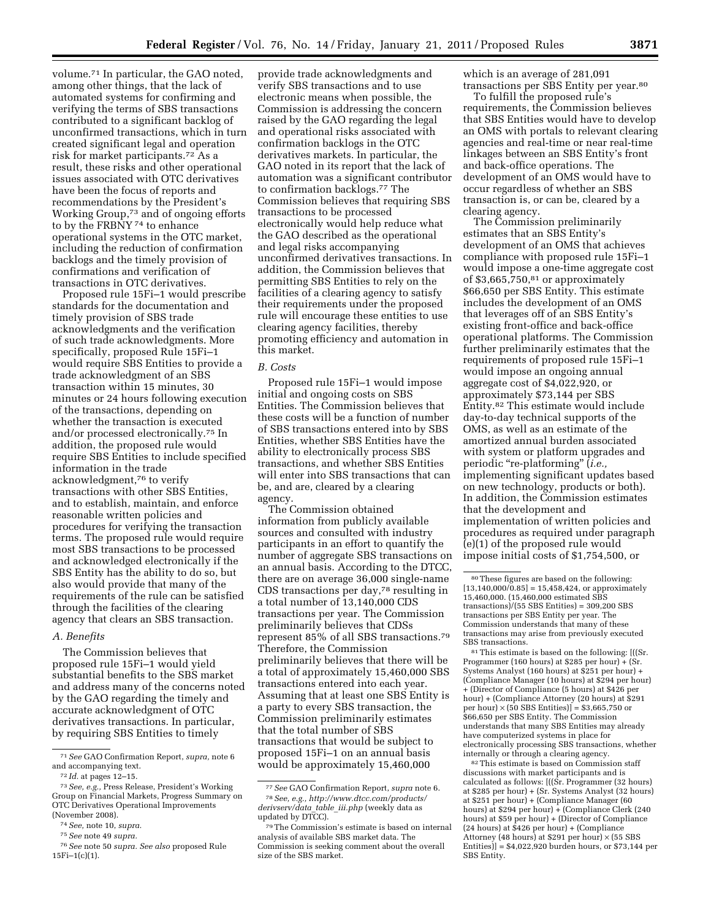volume.71 In particular, the GAO noted, among other things, that the lack of automated systems for confirming and verifying the terms of SBS transactions contributed to a significant backlog of unconfirmed transactions, which in turn created significant legal and operation risk for market participants.72 As a result, these risks and other operational issues associated with OTC derivatives have been the focus of reports and recommendations by the President's Working Group,73 and of ongoing efforts to by the FRBNY 74 to enhance operational systems in the OTC market, including the reduction of confirmation backlogs and the timely provision of confirmations and verification of transactions in OTC derivatives.

Proposed rule 15Fi–1 would prescribe standards for the documentation and timely provision of SBS trade acknowledgments and the verification of such trade acknowledgments. More specifically, proposed Rule 15Fi–1 would require SBS Entities to provide a trade acknowledgment of an SBS transaction within 15 minutes, 30 minutes or 24 hours following execution of the transactions, depending on whether the transaction is executed and/or processed electronically.75 In addition, the proposed rule would require SBS Entities to include specified information in the trade acknowledgment,76 to verify transactions with other SBS Entities, and to establish, maintain, and enforce reasonable written policies and procedures for verifying the transaction terms. The proposed rule would require most SBS transactions to be processed and acknowledged electronically if the SBS Entity has the ability to do so, but also would provide that many of the requirements of the rule can be satisfied through the facilities of the clearing agency that clears an SBS transaction.

### *A. Benefits*

The Commission believes that proposed rule 15Fi–1 would yield substantial benefits to the SBS market and address many of the concerns noted by the GAO regarding the timely and accurate acknowledgment of OTC derivatives transactions. In particular, by requiring SBS Entities to timely

provide trade acknowledgments and verify SBS transactions and to use electronic means when possible, the Commission is addressing the concern raised by the GAO regarding the legal and operational risks associated with confirmation backlogs in the OTC derivatives markets. In particular, the GAO noted in its report that the lack of automation was a significant contributor to confirmation backlogs.77 The Commission believes that requiring SBS transactions to be processed electronically would help reduce what the GAO described as the operational and legal risks accompanying unconfirmed derivatives transactions. In addition, the Commission believes that permitting SBS Entities to rely on the facilities of a clearing agency to satisfy their requirements under the proposed rule will encourage these entities to use clearing agency facilities, thereby promoting efficiency and automation in this market.

#### *B. Costs*

Proposed rule 15Fi–1 would impose initial and ongoing costs on SBS Entities. The Commission believes that these costs will be a function of number of SBS transactions entered into by SBS Entities, whether SBS Entities have the ability to electronically process SBS transactions, and whether SBS Entities will enter into SBS transactions that can be, and are, cleared by a clearing agency.

The Commission obtained information from publicly available sources and consulted with industry participants in an effort to quantify the number of aggregate SBS transactions on an annual basis. According to the DTCC, there are on average 36,000 single-name CDS transactions per day,78 resulting in a total number of 13,140,000 CDS transactions per year. The Commission preliminarily believes that CDSs represent 85% of all SBS transactions.79 Therefore, the Commission preliminarily believes that there will be a total of approximately 15,460,000 SBS transactions entered into each year. Assuming that at least one SBS Entity is a party to every SBS transaction, the Commission preliminarily estimates that the total number of SBS transactions that would be subject to proposed 15Fi–1 on an annual basis would be approximately 15,460,000

which is an average of 281,091 transactions per SBS Entity per year.80

To fulfill the proposed rule's requirements, the Commission believes that SBS Entities would have to develop an OMS with portals to relevant clearing agencies and real-time or near real-time linkages between an SBS Entity's front and back-office operations. The development of an OMS would have to occur regardless of whether an SBS transaction is, or can be, cleared by a clearing agency.

The Commission preliminarily estimates that an SBS Entity's development of an OMS that achieves compliance with proposed rule 15Fi–1 would impose a one-time aggregate cost of  $$3,665,750,81$  or approximately \$66,650 per SBS Entity. This estimate includes the development of an OMS that leverages off of an SBS Entity's existing front-office and back-office operational platforms. The Commission further preliminarily estimates that the requirements of proposed rule 15Fi–1 would impose an ongoing annual aggregate cost of \$4,022,920, or approximately \$73,144 per SBS Entity.82 This estimate would include day-to-day technical supports of the OMS, as well as an estimate of the amortized annual burden associated with system or platform upgrades and periodic ''re-platforming'' (*i.e.,*  implementing significant updates based on new technology, products or both). In addition, the Commission estimates that the development and implementation of written policies and procedures as required under paragraph (e)(1) of the proposed rule would impose initial costs of \$1,754,500, or

81This estimate is based on the following: [((Sr. Programmer (160 hours) at \$285 per hour) + (Sr. Systems Analyst (160 hours) at \$251 per hour) + (Compliance Manager (10 hours) at \$294 per hour) + (Director of Compliance (5 hours) at \$426 per hour) + (Compliance Attorney (20 hours) at \$291 per hour)  $\times$  (50 SBS Entities)] = \$3,665,750 or \$66,650 per SBS Entity. The Commission understands that many SBS Entities may already have computerized systems in place for electronically processing SBS transactions, whether internally or through a clearing agency.

82This estimate is based on Commission staff discussions with market participants and is calculated as follows:  $[((\hat{S}r, Programmer (32 hours)$ at \$285 per hour) + (Sr. Systems Analyst (32 hours) at \$251 per hour) + (Compliance Manager (60 hours) at \$294 per hour) + (Compliance Clerk (240 hours) at \$59 per hour) + (Director of Compliance (24 hours) at \$426 per hour) + (Compliance Attorney (48 hours) at \$291 per hour) × (55 SBS Entities)] = \$4,022,920 burden hours, or \$73,144 per SBS Entity.

<sup>71</sup>*See* GAO Confirmation Report, *supra,* note 6 and accompanying text.

<sup>72</sup> *Id.* at pages 12–15.

<sup>73</sup>*See, e.g.,* Press Release, President's Working Group on Financial Markets, Progress Summary on OTC Derivatives Operational Improvements (November 2008).

<sup>74</sup>*See,* note 10, *supra.* 

<sup>75</sup>*See* note 49 *supra.* 

<sup>76</sup>*See* note 50 *supra. See also* proposed Rule 15Fi–1(c)(1).

<sup>77</sup>*See* GAO Confirmation Report, *supra* note 6. 78*See, e.g., [http://www.dtcc.com/products/](http://www.dtcc.com/products/derivserv/data_table_iii.php)  [derivserv/data](http://www.dtcc.com/products/derivserv/data_table_iii.php)*\_*table*\_*iii.php* (weekly data as updated by DTCC).

<sup>79</sup>The Commission's estimate is based on internal analysis of available SBS market data. The Commission is seeking comment about the overall size of the SBS market.

<sup>80</sup>These figures are based on the following:  $[13,140,000/\overline{0.85}] = 15,458,424$ , or approximately 15,460,000. (15,460,000 estimated SBS transactions)/(55 SBS Entities) = 309,200 SBS transactions per SBS Entity per year. The Commission understands that many of these transactions may arise from previously executed SBS transactions.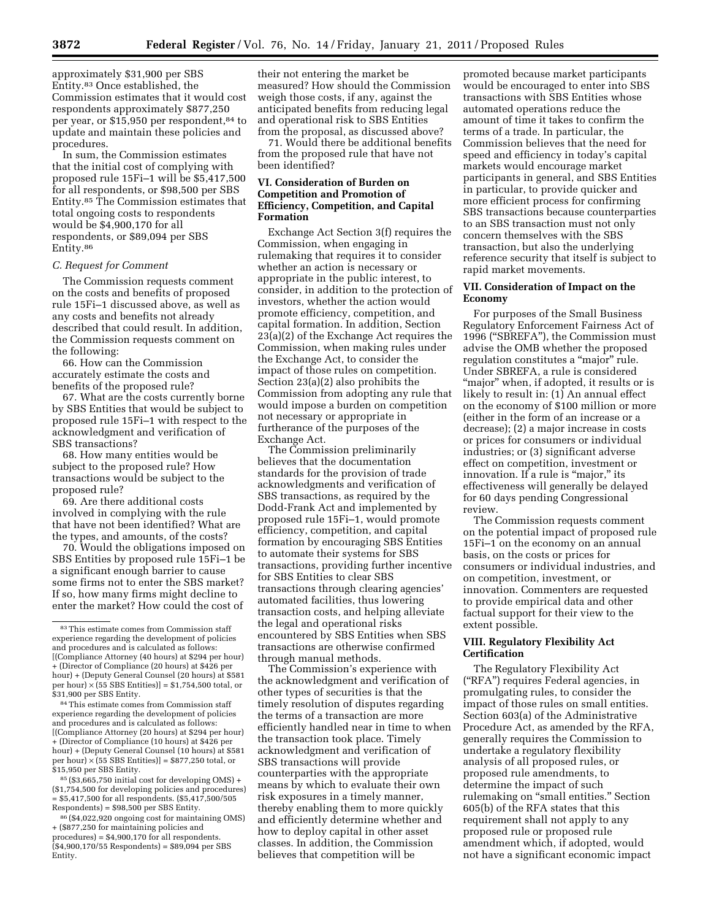approximately \$31,900 per SBS Entity.83 Once established, the Commission estimates that it would cost respondents approximately \$877,250 per year, or \$15,950 per respondent,84 to update and maintain these policies and procedures.

In sum, the Commission estimates that the initial cost of complying with proposed rule 15Fi–1 will be \$5,417,500 for all respondents, or \$98,500 per SBS Entity.85 The Commission estimates that total ongoing costs to respondents would be \$4,900,170 for all respondents, or \$89,094 per SBS Entity.86

# *C. Request for Comment*

The Commission requests comment on the costs and benefits of proposed rule 15Fi–1 discussed above, as well as any costs and benefits not already described that could result. In addition, the Commission requests comment on the following:

66. How can the Commission accurately estimate the costs and benefits of the proposed rule?

67. What are the costs currently borne by SBS Entities that would be subject to proposed rule 15Fi–1 with respect to the acknowledgment and verification of SBS transactions?

68. How many entities would be subject to the proposed rule? How transactions would be subject to the proposed rule?

69. Are there additional costs involved in complying with the rule that have not been identified? What are the types, and amounts, of the costs?

70. Would the obligations imposed on SBS Entities by proposed rule 15Fi–1 be a significant enough barrier to cause some firms not to enter the SBS market? If so, how many firms might decline to enter the market? How could the cost of

 $85$  (\$3,665,750 initial cost for developing OMS) + (\$1,754,500 for developing policies and procedures) = \$5,417,500 for all respondents. (\$5,417,500/505 Respondents) = \$98,500 per SBS Entity.

their not entering the market be measured? How should the Commission weigh those costs, if any, against the anticipated benefits from reducing legal and operational risk to SBS Entities from the proposal, as discussed above?

71. Would there be additional benefits from the proposed rule that have not been identified?

## **VI. Consideration of Burden on Competition and Promotion of Efficiency, Competition, and Capital Formation**

Exchange Act Section 3(f) requires the Commission, when engaging in rulemaking that requires it to consider whether an action is necessary or appropriate in the public interest, to consider, in addition to the protection of investors, whether the action would promote efficiency, competition, and capital formation. In addition, Section 23(a)(2) of the Exchange Act requires the Commission, when making rules under the Exchange Act, to consider the impact of those rules on competition. Section 23(a)(2) also prohibits the Commission from adopting any rule that would impose a burden on competition not necessary or appropriate in furtherance of the purposes of the Exchange Act.

The Commission preliminarily believes that the documentation standards for the provision of trade acknowledgments and verification of SBS transactions, as required by the Dodd-Frank Act and implemented by proposed rule 15Fi–1, would promote efficiency, competition, and capital formation by encouraging SBS Entities to automate their systems for SBS transactions, providing further incentive for SBS Entities to clear SBS transactions through clearing agencies' automated facilities, thus lowering transaction costs, and helping alleviate the legal and operational risks encountered by SBS Entities when SBS transactions are otherwise confirmed through manual methods.

The Commission's experience with the acknowledgment and verification of other types of securities is that the timely resolution of disputes regarding the terms of a transaction are more efficiently handled near in time to when the transaction took place. Timely acknowledgment and verification of SBS transactions will provide counterparties with the appropriate means by which to evaluate their own risk exposures in a timely manner, thereby enabling them to more quickly and efficiently determine whether and how to deploy capital in other asset classes. In addition, the Commission believes that competition will be

promoted because market participants would be encouraged to enter into SBS transactions with SBS Entities whose automated operations reduce the amount of time it takes to confirm the terms of a trade. In particular, the Commission believes that the need for speed and efficiency in today's capital markets would encourage market participants in general, and SBS Entities in particular, to provide quicker and more efficient process for confirming SBS transactions because counterparties to an SBS transaction must not only concern themselves with the SBS transaction, but also the underlying reference security that itself is subject to rapid market movements.

# **VII. Consideration of Impact on the Economy**

For purposes of the Small Business Regulatory Enforcement Fairness Act of 1996 (''SBREFA''), the Commission must advise the OMB whether the proposed regulation constitutes a ''major'' rule. Under SBREFA, a rule is considered "major" when, if adopted, it results or is likely to result in: (1) An annual effect on the economy of \$100 million or more (either in the form of an increase or a decrease); (2) a major increase in costs or prices for consumers or individual industries; or (3) significant adverse effect on competition, investment or innovation. If a rule is "major," its effectiveness will generally be delayed for 60 days pending Congressional review.

The Commission requests comment on the potential impact of proposed rule 15Fi–1 on the economy on an annual basis, on the costs or prices for consumers or individual industries, and on competition, investment, or innovation. Commenters are requested to provide empirical data and other factual support for their view to the extent possible.

## **VIII. Regulatory Flexibility Act Certification**

The Regulatory Flexibility Act (''RFA'') requires Federal agencies, in promulgating rules, to consider the impact of those rules on small entities. Section 603(a) of the Administrative Procedure Act, as amended by the RFA, generally requires the Commission to undertake a regulatory flexibility analysis of all proposed rules, or proposed rule amendments, to determine the impact of such rulemaking on ''small entities.'' Section 605(b) of the RFA states that this requirement shall not apply to any proposed rule or proposed rule amendment which, if adopted, would not have a significant economic impact

<sup>83</sup>This estimate comes from Commission staff experience regarding the development of policies and procedures and is calculated as follows: [(Compliance Attorney (40 hours) at \$294 per hour) + (Director of Compliance (20 hours) at \$426 per hour) + (Deputy General Counsel (20 hours) at \$581 per hour) × (55 SBS Entities)] = \$1,754,500 total, or \$31,900 per SBS Entity.

<sup>84</sup>This estimate comes from Commission staff experience regarding the development of policies and procedures and is calculated as follows: [(Compliance Attorney (20 hours) at \$294 per hour) + (Director of Compliance (10 hours) at \$426 per hour) + (Deputy General Counsel (10 hours) at \$581 per hour)  $\times$  (55 SBS Entities)] = \$877,250 total, or \$15,950 per SBS Entity.

<sup>86</sup> (\$4,022,920 ongoing cost for maintaining OMS) + (\$877,250 for maintaining policies and procedures) = \$4,900,170 for all respondents.  $($ \$4,900,170/55 Respondents $)$  = \$89,094 per SBS Entity.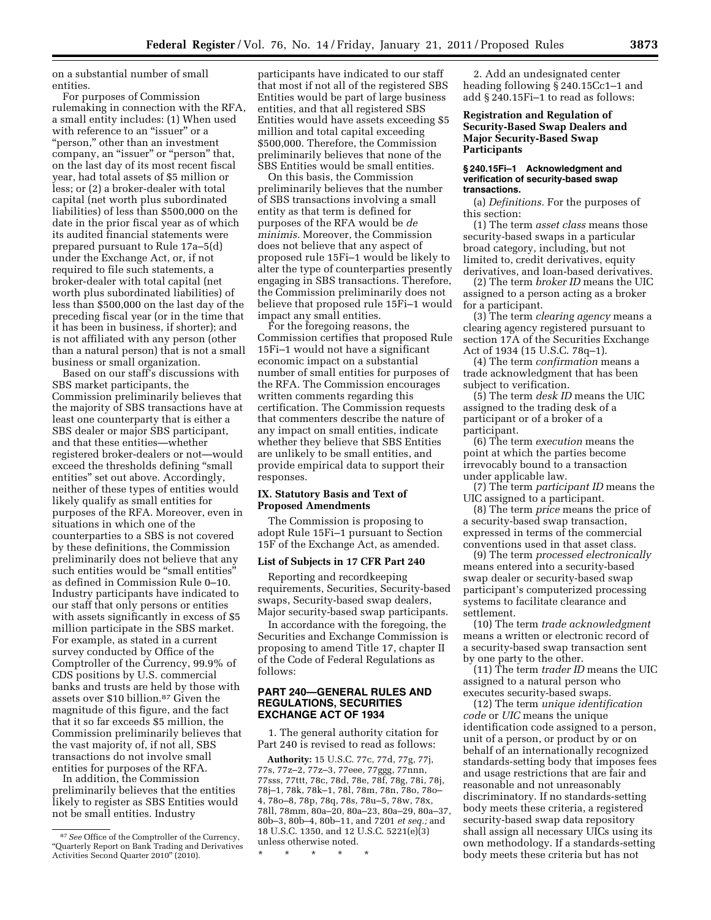on a substantial number of small entities.

For purposes of Commission rulemaking in connection with the RFA, a small entity includes: (1) When used with reference to an "issuer" or a ''person,'' other than an investment company, an "issuer" or "person" that, on the last day of its most recent fiscal year, had total assets of \$5 million or less; or (2) a broker-dealer with total capital (net worth plus subordinated liabilities) of less than \$500,000 on the date in the prior fiscal year as of which its audited financial statements were prepared pursuant to Rule 17a–5(d) under the Exchange Act, or, if not required to file such statements, a broker-dealer with total capital (net worth plus subordinated liabilities) of less than \$500,000 on the last day of the preceding fiscal year (or in the time that it has been in business, if shorter); and is not affiliated with any person (other than a natural person) that is not a small business or small organization.

Based on our staff's discussions with SBS market participants, the Commission preliminarily believes that the majority of SBS transactions have at least one counterparty that is either a SBS dealer or major SBS participant, and that these entities—whether registered broker-dealers or not—would exceed the thresholds defining ''small entities'' set out above. Accordingly, neither of these types of entities would likely qualify as small entities for purposes of the RFA. Moreover, even in situations in which one of the counterparties to a SBS is not covered by these definitions, the Commission preliminarily does not believe that any such entities would be "small entities" as defined in Commission Rule 0–10. Industry participants have indicated to our staff that only persons or entities with assets significantly in excess of \$5 million participate in the SBS market. For example, as stated in a current survey conducted by Office of the Comptroller of the Currency, 99.9% of CDS positions by U.S. commercial banks and trusts are held by those with assets over \$10 billion.87 Given the magnitude of this figure, and the fact that it so far exceeds \$5 million, the Commission preliminarily believes that the vast majority of, if not all, SBS transactions do not involve small entities for purposes of the RFA.

In addition, the Commission preliminarily believes that the entities likely to register as SBS Entities would not be small entities. Industry

participants have indicated to our staff that most if not all of the registered SBS Entities would be part of large business entities, and that all registered SBS Entities would have assets exceeding \$5 million and total capital exceeding \$500,000. Therefore, the Commission preliminarily believes that none of the SBS Entities would be small entities.

On this basis, the Commission preliminarily believes that the number of SBS transactions involving a small entity as that term is defined for purposes of the RFA would be *de minimis.* Moreover, the Commission does not believe that any aspect of proposed rule 15Fi–1 would be likely to alter the type of counterparties presently engaging in SBS transactions. Therefore, the Commission preliminarily does not believe that proposed rule 15Fi–1 would impact any small entities.

For the foregoing reasons, the Commission certifies that proposed Rule 15Fi–1 would not have a significant economic impact on a substantial number of small entities for purposes of the RFA. The Commission encourages written comments regarding this certification. The Commission requests that commenters describe the nature of any impact on small entities, indicate whether they believe that SBS Entities are unlikely to be small entities, and provide empirical data to support their responses.

# **IX. Statutory Basis and Text of Proposed Amendments**

The Commission is proposing to adopt Rule 15Fi–1 pursuant to Section 15F of the Exchange Act, as amended.

## **List of Subjects in 17 CFR Part 240**

Reporting and recordkeeping requirements, Securities, Security-based swaps, Security-based swap dealers, Major security-based swap participants.

In accordance with the foregoing, the Securities and Exchange Commission is proposing to amend Title 17, chapter II of the Code of Federal Regulations as follows:

## **PART 240—GENERAL RULES AND REGULATIONS, SECURITIES EXCHANGE ACT OF 1934**

1. The general authority citation for Part 240 is revised to read as follows:

**Authority:** 15 U.S.C. 77c, 77d, 77g, 77j, 77s, 77z–2, 77z–3, 77eee, 77ggg, 77nnn, 77sss, 77ttt, 78c, 78d, 78e, 78f, 78g, 78i, 78j, 78j–1, 78k, 78k–1, 78l, 78m, 78n, 78o, 78o– 4, 78o–8, 78p, 78q, 78s, 78u–5, 78w, 78x, 78ll, 78mm, 80a–20, 80a–23, 80a–29, 80a–37, 80b–3, 80b–4, 80b–11, and 7201 *et seq.;* and 18 U.S.C. 1350, and 12 U.S.C. 5221(e)(3) unless otherwise noted.

2. Add an undesignated center heading following § 240.15Cc1–1 and add § 240.15Fi–1 to read as follows:

## **Registration and Regulation of Security-Based Swap Dealers and Major Security-Based Swap Participants**

#### **§ 240.15Fi–1 Acknowledgment and verification of security-based swap transactions.**

(a) *Definitions.* For the purposes of this section:

(1) The term *asset class* means those security-based swaps in a particular broad category, including, but not limited to, credit derivatives, equity derivatives, and loan-based derivatives.

(2) The term *broker ID* means the UIC assigned to a person acting as a broker for a participant.

(3) The term *clearing agency* means a clearing agency registered pursuant to section 17A of the Securities Exchange Act of 1934 (15 U.S.C. 78q–1).

(4) The term *confirmation* means a trade acknowledgment that has been subject to verification.

(5) The term *desk ID* means the UIC assigned to the trading desk of a participant or of a broker of a participant.

(6) The term *execution* means the point at which the parties become irrevocably bound to a transaction under applicable law.

(7) The term *participant ID* means the UIC assigned to a participant.

(8) The term *price* means the price of a security-based swap transaction, expressed in terms of the commercial conventions used in that asset class.

(9) The term *processed electronically*  means entered into a security-based swap dealer or security-based swap participant's computerized processing systems to facilitate clearance and settlement.

(10) The term *trade acknowledgment*  means a written or electronic record of a security-based swap transaction sent by one party to the other.

(11) The term *trader ID* means the UIC assigned to a natural person who executes security-based swaps.

(12) The term *unique identification code* or *UIC* means the unique identification code assigned to a person, unit of a person, or product by or on behalf of an internationally recognized standards-setting body that imposes fees and usage restrictions that are fair and reasonable and not unreasonably discriminatory. If no standards-setting body meets these criteria, a registered security-based swap data repository shall assign all necessary UICs using its own methodology. If a standards-setting body meets these criteria but has not

<sup>87</sup>*See* Office of the Comptroller of the Currency, ''Quarterly Report on Bank Trading and Derivatives Activities Second Quarter 2010'' (2010).

<sup>\* \* \* \* \*</sup>